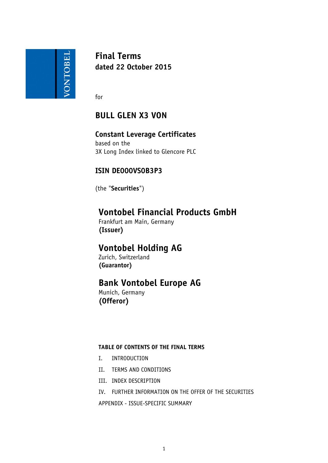

**Final Terms dated 22 October 2015**

for

## **BULL GLEN X3 VON**

# **Constant Leverage Certificates**

based on the 3X Long Index linked to Glencore PLC

## **ISIN DE000VS0B3P3**

(the "**Securities**")

## **Vontobel Financial Products GmbH**

Frankfurt am Main, Germany **(Issuer)**

# **Vontobel Holding AG**

Zurich, Switzerland **(Guarantor)**

## **Bank Vontobel Europe AG**

Munich, Germany **(Offeror)**

## **TABLE OF CONTENTS OF THE FINAL TERMS**

- I. INTRODUCTION
- II. TERMS AND CONDITIONS
- III. INDEX DESCRIPTION
- IV. FURTHER INFORMATION ON THE OFFER OF THE SECURITIES

APPENDIX - ISSUE-SPECIFIC SUMMARY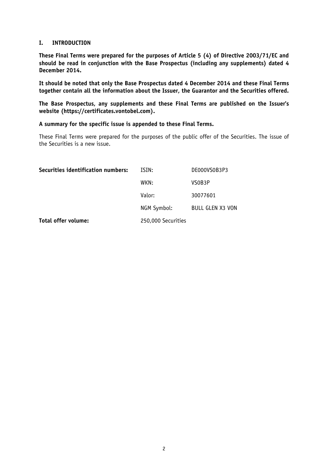### **I. INTRODUCTION**

**These Final Terms were prepared for the purposes of Article 5 (4) of Directive 2003/71/EC and should be read in conjunction with the Base Prospectus (including any supplements) dated 4 December 2014.** 

**It should be noted that only the Base Prospectus dated 4 December 2014 and these Final Terms together contain all the information about the Issuer, the Guarantor and the Securities offered.**

**The Base Prospectus, any supplements and these Final Terms are published on the Issuer's website (https://certificates.vontobel.com).**

**A summary for the specific issue is appended to these Final Terms.**

These Final Terms were prepared for the purposes of the public offer of the Securities. The issue of the Securities is a new issue.

| Securities identification numbers: | ISIN:              | DE000VS0B3P3            |
|------------------------------------|--------------------|-------------------------|
|                                    | WKN:               | VSOB3P                  |
|                                    | Valor:             | 30077601                |
|                                    | NGM Symbol:        | <b>BULL GLEN X3 VON</b> |
| Total offer volume:                | 250,000 Securities |                         |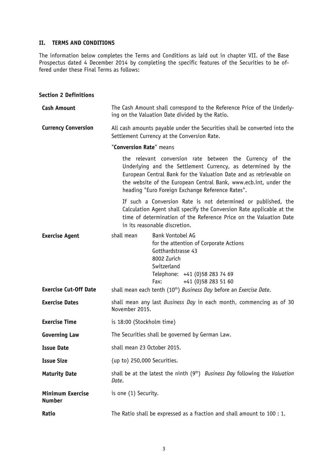## **II. TERMS AND CONDITIONS**

The information below completes the Terms and Conditions as laid out in chapter VII. of the Base Prospectus dated 4 December 2014 by completing the specific features of the Securities to be offered under these Final Terms as follows:

### **Section 2 Definitions**

| <b>Cash Amount</b>                | The Cash Amount shall correspond to the Reference Price of the Underly-<br>ing on the Valuation Date divided by the Ratio. |                                                                                                                                                                                                                                                                                                                        |
|-----------------------------------|----------------------------------------------------------------------------------------------------------------------------|------------------------------------------------------------------------------------------------------------------------------------------------------------------------------------------------------------------------------------------------------------------------------------------------------------------------|
| <b>Currency Conversion</b>        | All cash amounts payable under the Securities shall be converted into the<br>Settlement Currency at the Conversion Rate.   |                                                                                                                                                                                                                                                                                                                        |
|                                   | "Conversion Rate" means                                                                                                    |                                                                                                                                                                                                                                                                                                                        |
|                                   |                                                                                                                            | the relevant conversion rate between the Currency of the<br>Underlying and the Settlement Currency, as determined by the<br>European Central Bank for the Valuation Date and as retrievable on<br>the website of the European Central Bank, www.ecb.int, under the<br>heading "Euro Foreign Exchange Reference Rates". |
|                                   |                                                                                                                            | If such a Conversion Rate is not determined or published, the<br>Calculation Agent shall specify the Conversion Rate applicable at the<br>time of determination of the Reference Price on the Valuation Date<br>in its reasonable discretion.                                                                          |
| <b>Exercise Agent</b>             | shall mean                                                                                                                 | Bank Vontobel AG<br>for the attention of Corporate Actions<br>Gotthardstrasse 43<br>8002 Zurich<br>Switzerland<br>Telephone: +41 (0)58 283 74 69<br>+41 (0) 58 283 51 60<br>Fax:                                                                                                                                       |
| <b>Exercise Cut-Off Date</b>      | shall mean each tenth (10 <sup>th</sup> ) Business Day before an Exercise Date.                                            |                                                                                                                                                                                                                                                                                                                        |
| <b>Exercise Dates</b>             | shall mean any last Business Day in each month, commencing as of 30<br>November 2015.                                      |                                                                                                                                                                                                                                                                                                                        |
| <b>Exercise Time</b>              | is 18:00 (Stockholm time)                                                                                                  |                                                                                                                                                                                                                                                                                                                        |
| <b>Governing Law</b>              | The Securities shall be governed by German Law.                                                                            |                                                                                                                                                                                                                                                                                                                        |
| <b>Issue Date</b>                 | shall mean 23 October 2015.                                                                                                |                                                                                                                                                                                                                                                                                                                        |
| <b>Issue Size</b>                 | (up to) 250,000 Securities.                                                                                                |                                                                                                                                                                                                                                                                                                                        |
| <b>Maturity Date</b>              | shall be at the latest the ninth (9 <sup>th</sup> ) <i>Business Day</i> following the <i>Valuation</i><br>Date.            |                                                                                                                                                                                                                                                                                                                        |
| Minimum Exercise<br><b>Number</b> | is one (1) Security.                                                                                                       |                                                                                                                                                                                                                                                                                                                        |
| Ratio                             | The Ratio shall be expressed as a fraction and shall amount to 100 : 1.                                                    |                                                                                                                                                                                                                                                                                                                        |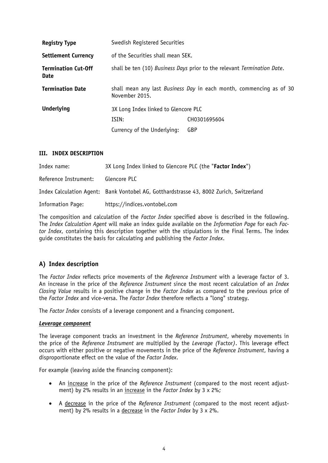| <b>Registry Type</b>                      | Swedish Registered Securities                                                                |              |
|-------------------------------------------|----------------------------------------------------------------------------------------------|--------------|
| <b>Settlement Currency</b>                | of the Securities shall mean SEK.                                                            |              |
| <b>Termination Cut-Off</b><br><b>Date</b> | shall be ten (10) Business Days prior to the relevant Termination Date.                      |              |
| <b>Termination Date</b>                   | shall mean any last <i>Business Day</i> in each month, commencing as of 30<br>November 2015. |              |
| <b>Underlying</b>                         | 3X Long Index linked to Glencore PLC                                                         |              |
|                                           | ISIN:                                                                                        | CH0301695604 |
|                                           | Currency of the Underlying:                                                                  | GBP          |

### **III. INDEX DESCRIPTION**

| Index name:              | 3X Long Index linked to Glencore PLC (the "Factor Index")                               |
|--------------------------|-----------------------------------------------------------------------------------------|
| Reference Instrument:    | Glencore PLC                                                                            |
|                          | Index Calculation Agent: Bank Vontobel AG, Gotthardstrasse 43, 8002 Zurich, Switzerland |
| <b>Information Page:</b> | https://indices.vontobel.com                                                            |

The composition and calculation of the *Factor Index* specified above is described in the following. The *Index Calculation Agent* will make an index guide available on the *Information Page* for each *Factor Index*, containing this description together with the stipulations in the Final Terms. The index guide constitutes the basis for calculating and publishing the *Factor Index*.

## **A) Index description**

The *Factor Index* reflects price movements of the *Reference Instrument* with a leverage factor of 3. An increase in the price of the *Reference Instrument* since the most recent calculation of an *Index Closing Value* results in a positive change in the *Factor Index* as compared to the previous price of the *Factor Index* and vice-versa. The *Factor Index* therefore reflects a "long" strategy.

The *Factor Index* consists of a leverage component and a financing component.

#### *Leverage component*

The leverage component tracks an investment in the *Reference Instrument*, whereby movements in the price of the *Reference Instrument* are multiplied by the *Leverage (*Factor*)*. This leverage effect occurs with either positive or negative movements in the price of the *Reference Instrument*, having a disproportionate effect on the value of the *Factor Index*.

For example (leaving aside the financing component):

- An increase in the price of the *Reference Instrument* (compared to the most recent adjustment) by 2% results in an increase in the *Factor Index* by 3 x 2%;
- A decrease in the price of the *Reference Instrument* (compared to the most recent adjustment) by 2% results in a decrease in the *Factor Index* by 3 x 2%.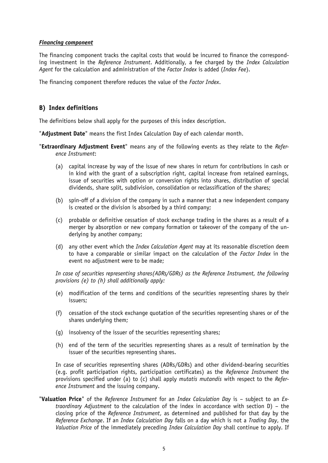#### *Financing component*

The financing component tracks the capital costs that would be incurred to finance the corresponding investment in the *Reference Instrument*. Additionally, a fee charged by the *Index Calculation Agent* for the calculation and administration of the *Factor Index* is added (*Index Fee*).

The financing component therefore reduces the value of the *Factor Index*.

## **B) Index definitions**

The definitions below shall apply for the purposes of this index description.

"**Adjustment Date**" means the first Index Calculation Day of each calendar month.

- "**Extraordinary Adjustment Event**" means any of the following events as they relate to the *Reference Instrument*:
	- (a) capital increase by way of the issue of new shares in return for contributions in cash or in kind with the grant of a subscription right, capital increase from retained earnings, issue of securities with option or conversion rights into shares, distribution of special dividends, share split, subdivision, consolidation or reclassification of the shares;
	- (b) spin-off of a division of the company in such a manner that a new independent company is created or the division is absorbed by a third company;
	- (c) probable or definitive cessation of stock exchange trading in the shares as a result of a merger by absorption or new company formation or takeover of the company of the underlying by another company;
	- (d) any other event which the *Index Calculation Agent* may at its reasonable discretion deem to have a comparable or similar impact on the calculation of the *Factor Index* in the event no adjustment were to be made;

*In case of securities representing shares(ADRs/GDRs) as the Reference Instrument, the following provisions (e) to (h) shall additionally apply:*

- (e) modification of the terms and conditions of the securities representing shares by their issuers;
- (f) cessation of the stock exchange quotation of the securities representing shares or of the shares underlying them;
- (g) insolvency of the issuer of the securities representing shares;
- (h) end of the term of the securities representing shares as a result of termination by the issuer of the securities representing shares.

In case of securities representing shares (ADRs/GDRs) and other dividend-bearing securities (e.g. profit participation rights, participation certificates) as the *Reference Instrument* the provisions specified under (a) to (c) shall apply *mutatis mutandis* with respect to the *Reference Instrument* and the issuing company.

"**Valuation Price**" of the *Reference Instrument* for an *Index Calculation Day* is – subject to an *Extraordinary Adjustment* to the calculation of the index in accordance with section D) – the closing price of the *Reference Instrument*, as determined and published for that day by the *Reference Exchange*. If an *Index Calculation Day* falls on a day which is not a *Trading Day*, the *Valuation Price* of the immediately preceding *Index Calculation Day* shall continue to apply. If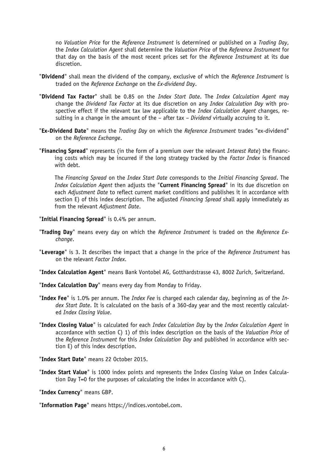no *Valuation Price* for the *Reference Instrument* is determined or published on a *Trading Day*, the *Index Calculation Agent* shall determine the *Valuation Price* of the *Reference Instrument* for that day on the basis of the most recent prices set for the *Reference Instrument* at its due discretion.

- "**Dividend**" shall mean the dividend of the company, exclusive of which the *Reference Instrument* is traded on the *Reference Exchange* on the *Ex-dividend Day*.
- "**Dividend Tax Factor**" shall be 0.85 on the *Index Start Date*. The *Index Calculation Agent* may change the *Dividend Tax Factor* at its due discretion on any *Index Calculation Day* with prospective effect if the relevant tax law applicable to the *Index Calculation Agent* changes, resulting in a change in the amount of the – after tax – *Dividend* virtually accruing to it.
- "**Ex-Dividend Date**" means the *Trading Day* on which the *Reference Instrument* trades "ex-dividend" on the *Reference Exchange*.
- "**Financing Spread**" represents (in the form of a premium over the relevant *Interest Rate*) the financing costs which may be incurred if the long strategy tracked by the *Factor Index* is financed with debt.

The *Financing Spread* on the *Index Start Date* corresponds to the *Initial Financing Spread*. The *Index Calculation Agent* then adjusts the "**Current Financing Spread**" in its due discretion on each *Adjustment Date* to reflect current market conditions and publishes it in accordance with section E) of this index description. The adjusted *Financing Spread* shall apply immediately as from the relevant *Adjustment Date*.

"**Initial Financing Spread**" is 0.4% per annum.

- "**Trading Day**" means every day on which the *Reference Instrument* is traded on the *Reference Exchange*.
- "**Leverage**" is 3. It describes the impact that a change in the price of the *Reference Instrument* has on the relevant *Factor Index*.

"**Index Calculation Agent**" means Bank Vontobel AG, Gotthardstrasse 43, 8002 Zurich, Switzerland.

- "**Index Calculation Day**" means every day from Monday to Friday.
- "**Index Fee**" is 1.0% per annum. The *Index Fee* is charged each calendar day, beginning as of the *Index Start Date*. It is calculated on the basis of a 360-day year and the most recently calculated *Index Closing Value*.
- "**Index Closing Value**" is calculated for each *Index Calculation Day* by the *Index Calculation Agent* in accordance with section C) 1) of this index description on the basis of the *Valuation Price* of the *Reference Instrument* for this *Index Calculation Day* and published in accordance with section E) of this index description.

"**Index Start Date**" means 22 October 2015.

"**Index Start Value**" is 1000 index points and represents the Index Closing Value on Index Calculation Day T=0 for the purposes of calculating the index in accordance with C).

"**Index Currency**" means GBP.

"**Information Page**" means https://indices.vontobel.com.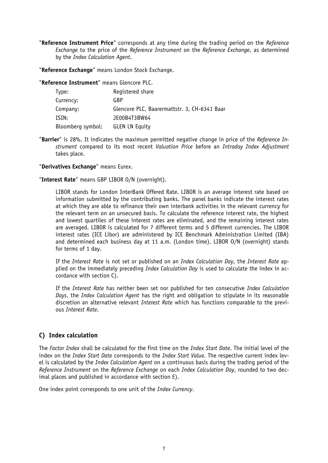"**Reference Instrument Price**" corresponds at any time during the trading period on the *Reference Exchange* to the price of the *Reference Instrument* on the *Reference Exchange*, as determined by the *Index Calculation Agent*.

"**Reference Exchange**" means London Stock Exchange.

"**Reference Instrument**" means Glencore PLC.

| Type:             | Registered share                             |
|-------------------|----------------------------------------------|
| Currency:         | GBP                                          |
| Company:          | Glencore PLC, Baarermattstr. 3, CH-6341 Baar |
| ISIN:             | JE00B4T3BW64                                 |
| Bloomberg symbol: | <b>GLEN LN Equity</b>                        |

"**Barrier**" is 28%. It indicates the maximum permitted negative change in price of the *Reference Instrument* compared to its most recent *Valuation Price* before an *Intraday Index Adjustment* takes place.

"**Derivatives Exchange**" means Eurex.

"**Interest Rate**" means GBP LIBOR O/N (overnight).

LIBOR stands for London InterBank Offered Rate. LIBOR is an average interest rate based on information submitted by the contributing banks. The panel banks indicate the interest rates at which they are able to refinance their own interbank activities in the relevant currency for the relevant term on an unsecured basis. To calculate the reference interest rate, the highest and lowest quartiles of these interest rates are eliminated, and the remaining interest rates are averaged. LIBOR is calculated for 7 different terms and 5 different currencies. The LIBOR interest rates (ICE Libor) are administered by ICE Benchmark Administration Limited (IBA) and determined each business day at 11 a.m. (London time). LIBOR O/N (overnight) stands for terms of 1 day.

If the *Interest Rate* is not set or published on an *Index Calculation Day*, the *Interest Rate* applied on the immediately preceding *Index Calculation Day* is used to calculate the index in accordance with section C).

If the *Interest Rate* has neither been set nor published for ten consecutive *Index Calculation Days*, the *Index Calculation Agent* has the right and obligation to stipulate in its reasonable discretion an alternative relevant *Interest Rate* which has functions comparable to the previous *Interest Rate*.

## **C) Index calculation**

The *Factor Index* shall be calculated for the first time on the *Index Start Date*. The initial level of the index on the *Index Start Date* corresponds to the *Index Start Value*. The respective current index level is calculated by the *Index Calculation Agent* on a continuous basis during the trading period of the *Reference Instrument* on the *Reference Exchange* on each *Index Calculation Day*, rounded to two decimal places and published in accordance with section E).

One index point corresponds to one unit of the *Index Currency*.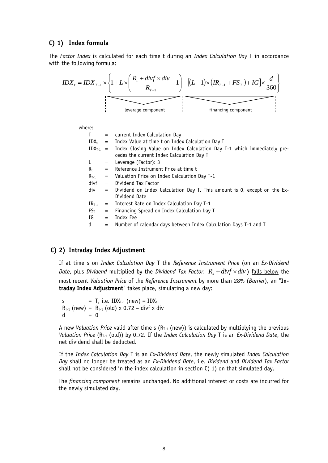### **C) 1) Index formula**

The *Factor Index* is calculated for each time t during an *Index Calculation Day* T in accordance with the following formula:

$$
IDX_{t} = IDX_{T-1} \times \left\{ 1 + L \times \left( \frac{R_{t} + divf \times div}{R_{T-1}} - 1 \right) - \left[ (L-1) \times \left( IR_{T-1} + FS_{T} \right) + IG \right] \times \frac{d}{360} \right\}
$$
  
leverage component

where:

| T               |     | = current Index Calculation Day                                                                                                    |
|-----------------|-----|------------------------------------------------------------------------------------------------------------------------------------|
| IDX.            |     | $=$ Index Value at time t on Index Calculation Day T                                                                               |
|                 |     | $IDX_{T-1}$ = Index Closing Value on Index Calculation Day T-1 which immediately pre-<br>cedes the current Index Calculation Day T |
| L.              | $=$ | Leverage (Factor): 3                                                                                                               |
| $R_{t}$         | $=$ | Reference Instrument Price at time t                                                                                               |
| $R_{T-1}$       | $=$ | Valuation Price on Index Calculation Day T-1                                                                                       |
| divf            | $=$ | Dividend Tax Factor                                                                                                                |
| div             |     | = Dividend on Index Calculation Day T. This amount is 0, except on the Ex-<br>Dividend Date                                        |
| $IRT-1$         | $=$ | Interest Rate on Index Calculation Day T-1                                                                                         |
| FS <sub>T</sub> | $=$ | Financing Spread on Index Calculation Day T                                                                                        |
| ΙG              | $=$ | Index Fee                                                                                                                          |
| d               | $=$ | Number of calendar days between Index Calculation Days T-1 and T                                                                   |
|                 |     |                                                                                                                                    |

#### **C) 2) Intraday Index Adjustment**

If at time s on *Index Calculation Day* T the *Reference Instrument Price* (on an *Ex-Dividend Date*, plus *Dividend* multiplied by the *Dividend Tax Factor*:  $R_s + divf \times div$  ) falls below the most recent *Valuation Price* of the *Reference Instrument* by more than 28% (*Barrier*), an "**Intraday Index Adjustment**" takes place, simulating a new day:

s = T, i.e.  $IDX_{T-1}$  (new) =  $IDX_s$  $R_{T-1}$  (new) =  $R_{T-1}$  (old) x 0.72 – divf x div  $d = 0$ 

A new *Valuation Price* valid after time s  $(R<sub>T-1</sub>$  (new)) is calculated by multiplying the previous *Valuation Price* (R<sub>T-1</sub> (old)) by 0.72. If the *Index Calculation Day* T is an *Ex-Dividend Date*, the net dividend shall be deducted.

If the *Index Calculation Day* T is an *Ex-Dividend Date*, the newly simulated *Index Calculation Day* shall no longer be treated as an *Ex-Dividend Date*, i.e. *Dividend* and *Dividend Tax Factor* shall not be considered in the index calculation in section C) 1) on that simulated day.

The *financing component* remains unchanged. No additional interest or costs are incurred for the newly simulated day.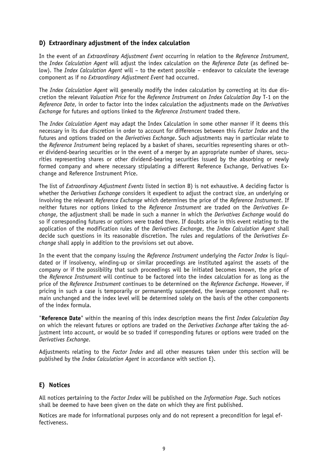## **D) Extraordinary adjustment of the index calculation**

In the event of an *Extraordinary Adjustment Event* occurring in relation to the *Reference Instrument*, the *Index Calculation Agent* will adjust the index calculation on the *Reference Date* (as defined below). The *Index Calculation Agent* will – to the extent possible – endeavor to calculate the leverage component as if no *Extraordinary Adjustment Event* had occurred.

The *Index Calculation Agent* will generally modify the index calculation by correcting at its due discretion the relevant *Valuation Price* for the *Reference Instrument* on *Index Calculation Day* T-1 on the *Reference Date*, in order to factor into the index calculation the adjustments made on the *Derivatives Exchange* for futures and options linked to the *Reference Instrument* traded there.

The *Index Calculation Agent* may adapt the Index Calculation in some other manner if it deems this necessary in its due discretion in order to account for differences between this *Factor Index* and the futures and options traded on the *Derivatives Exchange*. Such adjustments may in particular relate to the *Reference Instrument* being replaced by a basket of shares, securities representing shares or other dividend-bearing securities or in the event of a merger by an appropriate number of shares, securities representing shares or other dividend-bearing securities issued by the absorbing or newly formed company and where necessary stipulating a different Reference Exchange, Derivatives Exchange and Reference Instrument Price.

The list of *Extraordinary Adjustment Events* listed in section B) is not exhaustive. A deciding factor is whether the *Derivatives Exchange* considers it expedient to adjust the contract size, an underlying or involving the relevant *Reference Exchange* which determines the price of the *Reference Instrument*. If neither futures nor options linked to the *Reference Instrument* are traded on the *Derivatives Exchange*, the adjustment shall be made in such a manner in which the *Derivatives Exchange* would do so if corresponding futures or options were traded there. If doubts arise in this event relating to the application of the modification rules of the *Derivatives Exchange*, the *Index Calculation Agent* shall decide such questions in its reasonable discretion. The rules and regulations of the *Derivatives Exchange* shall apply in addition to the provisions set out above.

In the event that the company issuing the *Reference Instrument* underlying the *Factor Index* is liquidated or if insolvency, winding-up or similar proceedings are instituted against the assets of the company or if the possibility that such proceedings will be initiated becomes known, the price of the *Reference Instrument* will continue to be factored into the index calculation for as long as the price of the *Reference Instrument* continues to be determined on the *Reference Exchange*. However, if pricing in such a case is temporarily or permanently suspended, the leverage component shall remain unchanged and the index level will be determined solely on the basis of the other components of the index formula.

"**Reference Date**" within the meaning of this index description means the first *Index Calculation Day* on which the relevant futures or options are traded on the *Derivatives Exchange* after taking the adjustment into account, or would be so traded if corresponding futures or options were traded on the *Derivatives Exchange*.

Adjustments relating to the *Factor Index* and all other measures taken under this section will be published by the *Index Calculation Agent* in accordance with section E).

## **E) Notices**

All notices pertaining to the *Factor Index* will be published on the *Information Page*. Such notices shall be deemed to have been given on the date on which they are first published.

Notices are made for informational purposes only and do not represent a precondition for legal effectiveness.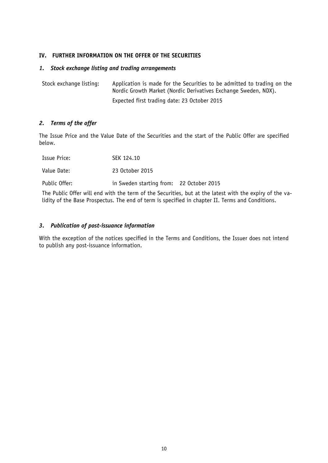### **IV. FURTHER INFORMATION ON THE OFFER OF THE SECURITIES**

#### *1. Stock exchange listing and trading arrangements*

Stock exchange listing: Application is made for the Securities to be admitted to trading on the Nordic Growth Market (Nordic Derivatives Exchange Sweden, NDX). Expected first trading date: 23 October 2015

### *2. Terms of the offer*

The Issue Price and the Value Date of the Securities and the start of the Public Offer are specified below.

| Issue Price:  | SEK 124.10                               |  |
|---------------|------------------------------------------|--|
| Value Date:   | 23 October 2015                          |  |
| Public Offer: | in Sweden starting from: 22 October 2015 |  |

The Public Offer will end with the term of the Securities, but at the latest with the expiry of the validity of the Base Prospectus. The end of term is specified in chapter II. Terms and Conditions.

### *3. Publication of post-issuance information*

With the exception of the notices specified in the Terms and Conditions, the Issuer does not intend to publish any post-issuance information.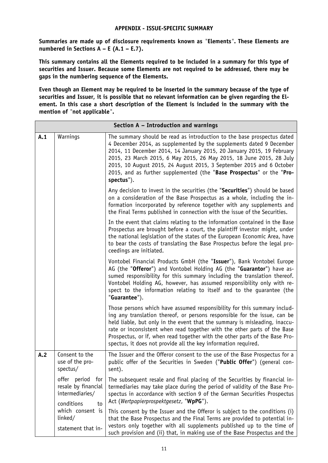### **APPENDIX - ISSUE-SPECIFIC SUMMARY**

**Summaries are made up of disclosure requirements known as** *"***Elements***"***. These Elements are numbered in Sections A – E (A.1 – E.7).**

**This summary contains all the Elements required to be included in a summary for this type of securities and Issuer. Because some Elements are not required to be addressed, there may be gaps in the numbering sequence of the Elements.**

**Even though an Element may be required to be inserted in the summary because of the type of securities and Issuer, it is possible that no relevant information can be given regarding the Element. In this case a short description of the Element is included in the summary with the mention of** *"***not applicable***"***.**

|     | Section A - Introduction and warnings                                             |                                                                                                                                                                                                                                                                                                                                                                                                                                                                  |  |  |
|-----|-----------------------------------------------------------------------------------|------------------------------------------------------------------------------------------------------------------------------------------------------------------------------------------------------------------------------------------------------------------------------------------------------------------------------------------------------------------------------------------------------------------------------------------------------------------|--|--|
| A.1 | Warnings                                                                          | The summary should be read as introduction to the base prospectus dated<br>4 December 2014, as supplemented by the supplements dated 9 December<br>2014, 11 December 2014, 14 January 2015, 20 January 2015, 19 February<br>2015, 23 March 2015, 6 May 2015, 26 May 2015, 18 June 2015, 28 July<br>2015, 10 August 2015, 24 August 2015, 3 September 2015 and 6 October<br>2015, and as further supplemented (the "Base Prospectus" or the "Pro-<br>spectus").   |  |  |
|     |                                                                                   | Any decision to invest in the securities (the "Securities") should be based<br>on a consideration of the Base Prospectus as a whole, including the in-<br>formation incorporated by reference together with any supplements and<br>the Final Terms published in connection with the issue of the Securities.                                                                                                                                                     |  |  |
|     |                                                                                   | In the event that claims relating to the information contained in the Base<br>Prospectus are brought before a court, the plaintiff investor might, under<br>the national legislation of the states of the European Economic Area, have<br>to bear the costs of translating the Base Prospectus before the legal pro-<br>ceedings are initiated.                                                                                                                  |  |  |
|     |                                                                                   | Vontobel Financial Products GmbH (the "Issuer"), Bank Vontobel Europe<br>AG (the "Offeror") and Vontobel Holding AG (the "Guarantor") have as-<br>sumed responsibility for this summary including the translation thereof.<br>Vontobel Holding AG, however, has assumed responsibility only with re-<br>spect to the information relating to itself and to the guarantee (the<br>"Guarantee").                                                                   |  |  |
|     |                                                                                   | Those persons which have assumed responsibility for this summary includ-<br>ing any translation thereof, or persons responsible for the issue, can be<br>held liable, but only in the event that the summary is misleading, inaccu-<br>rate or inconsistent when read together with the other parts of the Base<br>Prospectus, or if, when read together with the other parts of the Base Pro-<br>spectus, it does not provide all the key information required. |  |  |
| A.2 | Consent to the<br>use of the pro-<br>spectus/                                     | The Issuer and the Offeror consent to the use of the Base Prospectus for a<br>public offer of the Securities in Sweden ("Public Offer") (general con-<br>sent).                                                                                                                                                                                                                                                                                                  |  |  |
|     | offer period<br>for<br>resale by financial<br>intermediaries/<br>conditions<br>to | The subsequent resale and final placing of the Securities by financial in-<br>termediaries may take place during the period of validity of the Base Pro-<br>spectus in accordance with section 9 of the German Securities Prospectus<br>Act (Wertpapierprospektgesetz, "WpPG").                                                                                                                                                                                  |  |  |
|     | which consent is<br>linked/<br>statement that in-                                 | This consent by the Issuer and the Offeror is subject to the conditions (i)<br>that the Base Prospectus and the Final Terms are provided to potential in-<br>vestors only together with all supplements published up to the time of<br>such provision and (ii) that, in making use of the Base Prospectus and the                                                                                                                                                |  |  |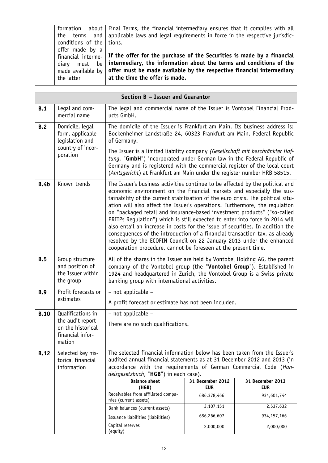| formation about    |
|--------------------|
| the terms and      |
| conditions of the  |
| offer made by a    |
| financial interme- |
| diary must be      |
| made available by  |
| the latter         |
|                    |

Final Terms, the financial intermediary ensures that it complies with all applicable laws and legal requirements in force in the respective jurisdictions.

**If the offer for the purchase of the Securities is made by a financial intermediary, the information about the terms and conditions of the offer must be made available by the respective financial intermediary at the time the offer is made.**

|                                                               | Section B - Issuer and Guarantor                                                                                                                                  |                                                                                                                                                                                                                                                                                                                                                                                                                                                                                                                                                                                                                                                                                                                                                                                                 |                                |                                |
|---------------------------------------------------------------|-------------------------------------------------------------------------------------------------------------------------------------------------------------------|-------------------------------------------------------------------------------------------------------------------------------------------------------------------------------------------------------------------------------------------------------------------------------------------------------------------------------------------------------------------------------------------------------------------------------------------------------------------------------------------------------------------------------------------------------------------------------------------------------------------------------------------------------------------------------------------------------------------------------------------------------------------------------------------------|--------------------------------|--------------------------------|
| B.1                                                           | Legal and com-<br>mercial name                                                                                                                                    | The legal and commercial name of the Issuer is Vontobel Financial Prod-<br>ucts GmbH.                                                                                                                                                                                                                                                                                                                                                                                                                                                                                                                                                                                                                                                                                                           |                                |                                |
| B.2<br>Domicile, legal<br>form, applicable<br>legislation and | The domicile of the Issuer is Frankfurt am Main. Its business address is:<br>Bockenheimer Landstraße 24, 60323 Frankfurt am Main, Federal Republic<br>of Germany. |                                                                                                                                                                                                                                                                                                                                                                                                                                                                                                                                                                                                                                                                                                                                                                                                 |                                |                                |
|                                                               | country of incor-<br>poration                                                                                                                                     | The Issuer is a limited liability company (Gesellschaft mit beschränkter Haf-<br>tung, "GmbH") incorporated under German law in the Federal Republic of<br>Germany and is registered with the commercial register of the local court<br>(Amtsgericht) at Frankfurt am Main under the register number HRB 58515.                                                                                                                                                                                                                                                                                                                                                                                                                                                                                 |                                |                                |
| <b>B.4b</b>                                                   | Known trends                                                                                                                                                      | The Issuer's business activities continue to be affected by the political and<br>economic environment on the financial markets and especially the sus-<br>tainability of the current stabilisation of the euro crisis. The political situ-<br>ation will also affect the Issuer's operations. Furthermore, the regulation<br>on "packaged retail and insurance-based investment products" ("so-called<br>PRIIPs Regulation") which is still expected to enter into force in 2014 will<br>also entail an increase in costs for the issue of securities. In addition the<br>consequences of the introduction of a financial transaction tax, as already<br>resolved by the ECOFIN Council on 22 January 2013 under the enhanced<br>cooperation procedure, cannot be foreseen at the present time. |                                |                                |
| B.5                                                           | Group structure<br>and position of<br>the Issuer within<br>the group                                                                                              | All of the shares in the Issuer are held by Vontobel Holding AG, the parent<br>company of the Vontobel group (the "Vontobel Group"). Established in<br>1924 and headquartered in Zurich, the Vontobel Group is a Swiss private<br>banking group with international activities.                                                                                                                                                                                                                                                                                                                                                                                                                                                                                                                  |                                |                                |
| Profit forecasts or<br><b>B.9</b><br>estimates                | - not applicable -                                                                                                                                                |                                                                                                                                                                                                                                                                                                                                                                                                                                                                                                                                                                                                                                                                                                                                                                                                 |                                |                                |
|                                                               | A profit forecast or estimate has not been included.                                                                                                              |                                                                                                                                                                                                                                                                                                                                                                                                                                                                                                                                                                                                                                                                                                                                                                                                 |                                |                                |
| <b>B.10</b>                                                   | Qualifications in<br>the audit report<br>on the historical<br>financial infor-<br>mation                                                                          | - not applicable -                                                                                                                                                                                                                                                                                                                                                                                                                                                                                                                                                                                                                                                                                                                                                                              |                                |                                |
|                                                               |                                                                                                                                                                   | There are no such qualifications.                                                                                                                                                                                                                                                                                                                                                                                                                                                                                                                                                                                                                                                                                                                                                               |                                |                                |
| <b>B.12</b>                                                   | Selected key his-<br>torical financial<br>information                                                                                                             | The selected financial information below has been taken from the Issuer's<br>audited annual financial statements as at 31 December 2012 and 2013 (in<br>accordance with the requirements of German Commercial Code (Han-<br>delsgesetzbuch, "HGB") in each case).                                                                                                                                                                                                                                                                                                                                                                                                                                                                                                                               |                                |                                |
|                                                               |                                                                                                                                                                   | <b>Balance sheet</b><br>(HGB)                                                                                                                                                                                                                                                                                                                                                                                                                                                                                                                                                                                                                                                                                                                                                                   | 31 December 2012<br><b>EUR</b> | 31 December 2013<br><b>EUR</b> |
|                                                               |                                                                                                                                                                   | Receivables from affiliated compa-<br>nies (current assets)                                                                                                                                                                                                                                                                                                                                                                                                                                                                                                                                                                                                                                                                                                                                     | 686,378,466                    | 934,601,744                    |
|                                                               |                                                                                                                                                                   | Bank balances (current assets)                                                                                                                                                                                                                                                                                                                                                                                                                                                                                                                                                                                                                                                                                                                                                                  | 3,107,151                      | 2,537,632                      |
|                                                               |                                                                                                                                                                   | Issuance liabilities (liabilities)                                                                                                                                                                                                                                                                                                                                                                                                                                                                                                                                                                                                                                                                                                                                                              | 686,266,607                    | 934,157,166                    |
|                                                               |                                                                                                                                                                   | Capital reserves<br>(equity)                                                                                                                                                                                                                                                                                                                                                                                                                                                                                                                                                                                                                                                                                                                                                                    | 2,000,000                      | 2,000,000                      |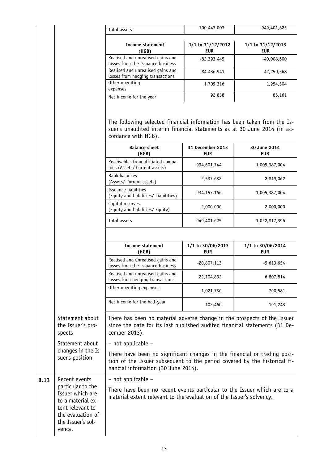|             |                                                                                                                                    | Total assets                                                                                                                                                                                 | 700,443,003                     | 949,401,625                     |
|-------------|------------------------------------------------------------------------------------------------------------------------------------|----------------------------------------------------------------------------------------------------------------------------------------------------------------------------------------------|---------------------------------|---------------------------------|
|             |                                                                                                                                    | <b>Income statement</b><br>(HGB)                                                                                                                                                             | 1/1 to 31/12/2012<br><b>EUR</b> | 1/1 to 31/12/2013<br><b>EUR</b> |
|             |                                                                                                                                    | Realised and unrealised gains and<br>losses from the issuance business                                                                                                                       | $-82,393,445$                   | $-40,008,600$                   |
|             |                                                                                                                                    | Realised and unrealised gains and<br>losses from hedging transactions                                                                                                                        | 84,436,941                      | 42,250,568                      |
|             |                                                                                                                                    | Other operating<br>expenses                                                                                                                                                                  | 1,709,316                       | 1,954,504                       |
|             |                                                                                                                                    | Net income for the year                                                                                                                                                                      | 92,838                          | 85,161                          |
|             |                                                                                                                                    | The following selected financial information has been taken from the Is-<br>suer's unaudited interim financial statements as at 30 June 2014 (in ac-<br>cordance with HGB).                  |                                 |                                 |
|             |                                                                                                                                    | <b>Balance sheet</b><br>(HGB)                                                                                                                                                                | 31 December 2013<br><b>EUR</b>  | 30 June 2014<br><b>EUR</b>      |
|             |                                                                                                                                    | Receivables from affiliated compa-<br>nies (Assets/ Current assets)                                                                                                                          | 934,601,744                     | 1,005,387,004                   |
|             |                                                                                                                                    | <b>Bank balances</b><br>(Assets/ Current assets)                                                                                                                                             | 2,537,632                       | 2,819,062                       |
|             |                                                                                                                                    | Issuance liabilities<br>(Equity and liabilities/ Liabilities)                                                                                                                                | 934,157,166                     | 1,005,387,004                   |
|             |                                                                                                                                    | Capital reserves<br>(Equity and liabilities/ Equity)                                                                                                                                         | 2,000,000                       | 2,000,000                       |
|             |                                                                                                                                    | Total assets                                                                                                                                                                                 | 949,401,625                     | 1,022,817,396                   |
|             |                                                                                                                                    |                                                                                                                                                                                              |                                 |                                 |
|             |                                                                                                                                    | <b>Income statement</b><br>(HGB)                                                                                                                                                             | 1/1 to 30/06/2013<br><b>EUR</b> | 1/1 to 30/06/2014<br><b>EUR</b> |
|             |                                                                                                                                    | Realised and unrealised gains and<br>losses from the issuance business                                                                                                                       | $-20,807,113$                   | $-5,613,654$                    |
|             |                                                                                                                                    | Realised and unrealised gains and<br>losses from hedging transactions                                                                                                                        | 22,104,832                      | 6,807,814                       |
|             |                                                                                                                                    | Other operating expenses                                                                                                                                                                     | 1,021,730                       | 790,581                         |
|             |                                                                                                                                    | Net income for the half-year                                                                                                                                                                 | 102,460                         | 191,243                         |
|             | Statement about<br>the Issuer's pro-<br>spects                                                                                     | There has been no material adverse change in the prospects of the Issuer<br>since the date for its last published audited financial statements (31 De-<br>cember 2013).                      |                                 |                                 |
|             | Statement about                                                                                                                    | - not applicable -                                                                                                                                                                           |                                 |                                 |
|             | changes in the Is-<br>suer's position                                                                                              | There have been no significant changes in the financial or trading posi-<br>tion of the Issuer subsequent to the period covered by the historical fi-<br>nancial information (30 June 2014). |                                 |                                 |
| <b>B.13</b> | Recent events                                                                                                                      | - not applicable -                                                                                                                                                                           |                                 |                                 |
|             | particular to the<br>Issuer which are<br>to a material ex-<br>tent relevant to<br>the evaluation of<br>the Issuer's sol-<br>vency. | There have been no recent events particular to the Issuer which are to a<br>material extent relevant to the evaluation of the Issuer's solvency.                                             |                                 |                                 |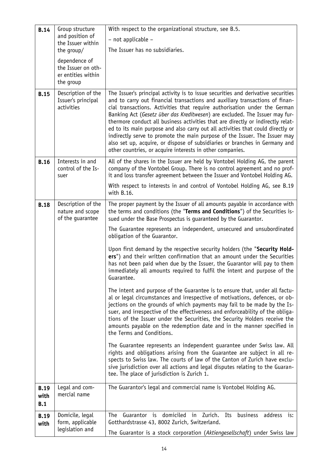| <b>B.14</b>                                                               | With respect to the organizational structure, see B.5.<br>Group structure |                                                                                                                                                                                                                                                                                                                                                                                                                                                                                                                                                                                                                                          |  |
|---------------------------------------------------------------------------|---------------------------------------------------------------------------|------------------------------------------------------------------------------------------------------------------------------------------------------------------------------------------------------------------------------------------------------------------------------------------------------------------------------------------------------------------------------------------------------------------------------------------------------------------------------------------------------------------------------------------------------------------------------------------------------------------------------------------|--|
|                                                                           | and position of<br>the Issuer within                                      | - not applicable -                                                                                                                                                                                                                                                                                                                                                                                                                                                                                                                                                                                                                       |  |
| the group/                                                                |                                                                           | The Issuer has no subsidiaries.                                                                                                                                                                                                                                                                                                                                                                                                                                                                                                                                                                                                          |  |
|                                                                           | dependence of                                                             |                                                                                                                                                                                                                                                                                                                                                                                                                                                                                                                                                                                                                                          |  |
|                                                                           | the Issuer on oth-<br>er entities within                                  |                                                                                                                                                                                                                                                                                                                                                                                                                                                                                                                                                                                                                                          |  |
|                                                                           | the group                                                                 |                                                                                                                                                                                                                                                                                                                                                                                                                                                                                                                                                                                                                                          |  |
| <b>B.15</b>                                                               | Description of the                                                        | The Issuer's principal activity is to issue securities and derivative securities                                                                                                                                                                                                                                                                                                                                                                                                                                                                                                                                                         |  |
|                                                                           | Issuer's principal<br>activities                                          | and to carry out financial transactions and auxiliary transactions of finan-<br>cial transactions. Activities that require authorisation under the German<br>Banking Act (Gesetz über das Kreditwesen) are excluded. The Issuer may fur-<br>thermore conduct all business activities that are directly or indirectly relat-<br>ed to its main purpose and also carry out all activities that could directly or<br>indirectly serve to promote the main purpose of the Issuer. The Issuer may<br>also set up, acquire, or dispose of subsidiaries or branches in Germany and<br>other countries, or acquire interests in other companies. |  |
| <b>B.16</b>                                                               | Interests in and<br>control of the Is-<br>suer                            | All of the shares in the Issuer are held by Vontobel Holding AG, the parent<br>company of the Vontobel Group. There is no control agreement and no prof-<br>it and loss transfer agreement between the Issuer and Vontobel Holding AG.                                                                                                                                                                                                                                                                                                                                                                                                   |  |
|                                                                           |                                                                           | With respect to interests in and control of Vontobel Holding AG, see B.19<br>with B.16.                                                                                                                                                                                                                                                                                                                                                                                                                                                                                                                                                  |  |
| <b>B.18</b>                                                               | Description of the<br>nature and scope<br>of the guarantee                | The proper payment by the Issuer of all amounts payable in accordance with<br>the terms and conditions (the "Terms and Conditions") of the Securities is-<br>sued under the Base Prospectus is guaranteed by the Guarantor.                                                                                                                                                                                                                                                                                                                                                                                                              |  |
|                                                                           |                                                                           | The Guarantee represents an independent, unsecured and unsubordinated<br>obligation of the Guarantor.                                                                                                                                                                                                                                                                                                                                                                                                                                                                                                                                    |  |
|                                                                           |                                                                           | Upon first demand by the respective security holders (the "Security Hold-<br>ers") and their written confirmation that an amount under the Securities<br>has not been paid when due by the Issuer, the Guarantor will pay to them<br>immediately all amounts required to fulfil the intent and purpose of the<br>Guarantee.                                                                                                                                                                                                                                                                                                              |  |
|                                                                           |                                                                           | The intent and purpose of the Guarantee is to ensure that, under all factu-<br>al or legal circumstances and irrespective of motivations, defences, or ob-<br>jections on the grounds of which payments may fail to be made by the Is-<br>suer, and irrespective of the effectiveness and enforceability of the obliga-<br>tions of the Issuer under the Securities, the Security Holders receive the<br>amounts payable on the redemption date and in the manner specified in<br>the Terms and Conditions.                                                                                                                              |  |
|                                                                           |                                                                           | The Guarantee represents an independent guarantee under Swiss law. All<br>rights and obligations arising from the Guarantee are subject in all re-<br>spects to Swiss law. The courts of law of the Canton of Zurich have exclu-<br>sive jurisdiction over all actions and legal disputes relating to the Guaran-<br>tee. The place of jurisdiction is Zurich 1.                                                                                                                                                                                                                                                                         |  |
| <b>B.19</b><br>with<br>B.1                                                | Legal and com-<br>mercial name                                            | The Guarantor's legal and commercial name is Vontobel Holding AG.                                                                                                                                                                                                                                                                                                                                                                                                                                                                                                                                                                        |  |
| <b>B.19</b>                                                               | Domicile, legal                                                           | domiciled<br>Guarantor is<br>in<br>Zurich.<br>Its<br>The<br>business<br>address<br>is:                                                                                                                                                                                                                                                                                                                                                                                                                                                                                                                                                   |  |
| form, applicable<br>Gotthardstrasse 43, 8002 Zurich, Switzerland.<br>with |                                                                           |                                                                                                                                                                                                                                                                                                                                                                                                                                                                                                                                                                                                                                          |  |
|                                                                           | legislation and                                                           | The Guarantor is a stock corporation (Aktiengesellschaft) under Swiss law                                                                                                                                                                                                                                                                                                                                                                                                                                                                                                                                                                |  |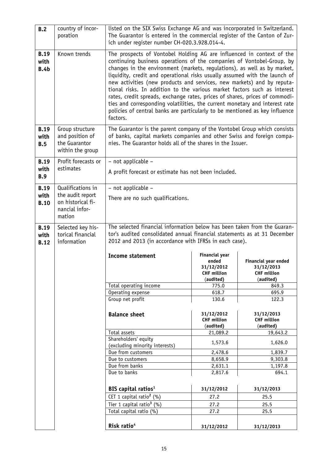| B.2                                | country of incor-<br>poration                                           | listed on the SIX Swiss Exchange AG and was incorporated in Switzerland.<br>The Guarantor is entered in the commercial register of the Canton of Zur-<br>ich under register number CH-020.3.928.014-4.                                                                                                                                                                                                                                                                                                                                                                                                                                                                                                                  |                                                                    |                                                          |
|------------------------------------|-------------------------------------------------------------------------|-------------------------------------------------------------------------------------------------------------------------------------------------------------------------------------------------------------------------------------------------------------------------------------------------------------------------------------------------------------------------------------------------------------------------------------------------------------------------------------------------------------------------------------------------------------------------------------------------------------------------------------------------------------------------------------------------------------------------|--------------------------------------------------------------------|----------------------------------------------------------|
| <b>B.19</b><br>with<br><b>B.4b</b> | Known trends                                                            | The prospects of Vontobel Holding AG are influenced in context of the<br>continuing business operations of the companies of Vontobel-Group, by<br>changes in the environment (markets, regulations), as well as by market,<br>liquidity, credit and operational risks usually assumed with the launch of<br>new activities (new products and services, new markets) and by reputa-<br>tional risks. In addition to the various market factors such as interest<br>rates, credit spreads, exchange rates, prices of shares, prices of commodi-<br>ties and corresponding volatilities, the current monetary and interest rate<br>policies of central banks are particularly to be mentioned as key influence<br>factors. |                                                                    |                                                          |
| <b>B.19</b><br>with<br>B.5         | Group structure<br>and position of<br>the Guarantor<br>within the group | The Guarantor is the parent company of the Vontobel Group which consists<br>of banks, capital markets companies and other Swiss and foreign compa-<br>nies. The Guarantor holds all of the shares in the Issuer.                                                                                                                                                                                                                                                                                                                                                                                                                                                                                                        |                                                                    |                                                          |
| <b>B.19</b>                        | Profit forecasts or                                                     | - not applicable -                                                                                                                                                                                                                                                                                                                                                                                                                                                                                                                                                                                                                                                                                                      |                                                                    |                                                          |
| with<br><b>B.9</b>                 | estimates                                                               | A profit forecast or estimate has not been included.                                                                                                                                                                                                                                                                                                                                                                                                                                                                                                                                                                                                                                                                    |                                                                    |                                                          |
| <b>B.19</b>                        | Qualifications in                                                       | - not applicable -                                                                                                                                                                                                                                                                                                                                                                                                                                                                                                                                                                                                                                                                                                      |                                                                    |                                                          |
| with<br><b>B.10</b>                | the audit report<br>on historical fi-<br>nancial infor-<br>mation       | There are no such qualifications.                                                                                                                                                                                                                                                                                                                                                                                                                                                                                                                                                                                                                                                                                       |                                                                    |                                                          |
| <b>B.19</b><br>with<br><b>B.12</b> | Selected key his-<br>torical financial<br>information                   | The selected financial information below has been taken from the Guaran-<br>tor's audited consolidated annual financial statements as at 31 December<br>2012 and 2013 (in accordance with IFRSs in each case).                                                                                                                                                                                                                                                                                                                                                                                                                                                                                                          |                                                                    |                                                          |
|                                    |                                                                         | <b>Income statement</b>                                                                                                                                                                                                                                                                                                                                                                                                                                                                                                                                                                                                                                                                                                 | <b>Financial year</b><br>ended<br>31/12/2012<br><b>CHF million</b> | Financial year ended<br>31/12/2013<br><b>CHF million</b> |
|                                    |                                                                         |                                                                                                                                                                                                                                                                                                                                                                                                                                                                                                                                                                                                                                                                                                                         | (audited)                                                          | (audited)                                                |
|                                    |                                                                         | Total operating income                                                                                                                                                                                                                                                                                                                                                                                                                                                                                                                                                                                                                                                                                                  | 775.0                                                              | 849.3                                                    |
|                                    |                                                                         | Operating expense                                                                                                                                                                                                                                                                                                                                                                                                                                                                                                                                                                                                                                                                                                       | 618.7                                                              | 695.9                                                    |
|                                    |                                                                         | Group net profit                                                                                                                                                                                                                                                                                                                                                                                                                                                                                                                                                                                                                                                                                                        | 130.6                                                              | 122.3                                                    |
|                                    |                                                                         | <b>Balance sheet</b>                                                                                                                                                                                                                                                                                                                                                                                                                                                                                                                                                                                                                                                                                                    | 31/12/2012<br><b>CHF million</b><br>(audited)                      | 31/12/2013<br><b>CHF million</b><br>(audited)            |
|                                    |                                                                         | Total assets                                                                                                                                                                                                                                                                                                                                                                                                                                                                                                                                                                                                                                                                                                            | 21,089.2                                                           | 19,643.2                                                 |
|                                    |                                                                         | Shareholders' equity                                                                                                                                                                                                                                                                                                                                                                                                                                                                                                                                                                                                                                                                                                    | 1,573.6                                                            | 1,626.0                                                  |
|                                    |                                                                         | (excluding minority interests)                                                                                                                                                                                                                                                                                                                                                                                                                                                                                                                                                                                                                                                                                          |                                                                    |                                                          |
|                                    |                                                                         | Due from customers<br>Due to customers                                                                                                                                                                                                                                                                                                                                                                                                                                                                                                                                                                                                                                                                                  | 2,478.6<br>8,658.9                                                 | 1,839.7<br>9,303.8                                       |
|                                    |                                                                         | Due from banks                                                                                                                                                                                                                                                                                                                                                                                                                                                                                                                                                                                                                                                                                                          | 2,631.1                                                            | 1,197.8                                                  |
|                                    |                                                                         | Due to banks                                                                                                                                                                                                                                                                                                                                                                                                                                                                                                                                                                                                                                                                                                            | 2,817.6                                                            | 694.1                                                    |
|                                    |                                                                         | BIS capital ratios <sup>1</sup>                                                                                                                                                                                                                                                                                                                                                                                                                                                                                                                                                                                                                                                                                         | 31/12/2012                                                         | 31/12/2013                                               |
|                                    |                                                                         | CET 1 capital ratio <sup>2</sup> (%)                                                                                                                                                                                                                                                                                                                                                                                                                                                                                                                                                                                                                                                                                    | 27.2                                                               | 25.5                                                     |
|                                    |                                                                         | Tier 1 capital ratio <sup>3</sup> (%)                                                                                                                                                                                                                                                                                                                                                                                                                                                                                                                                                                                                                                                                                   | 27.2                                                               | 25.5                                                     |
|                                    |                                                                         | Total capital ratio (%)                                                                                                                                                                                                                                                                                                                                                                                                                                                                                                                                                                                                                                                                                                 | 27.2                                                               | 25.5                                                     |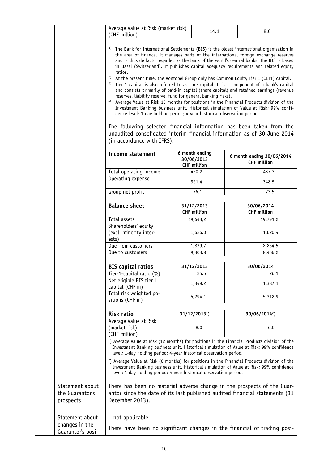| Average Value at Risk (market risk) | 14.1 | 8.0 |
|-------------------------------------|------|-----|
| (CHF million)                       |      |     |

- <sup>1)</sup> The Bank for International Settlements (BIS) is the oldest international organisation in the area of finance. It manages parts of the international foreign exchange reserves and is thus de facto regarded as the bank of the world's central banks. The BIS is based in Basel (Switzerland). It publishes capital adequacy requirements and related equity ratios.
- <sup>2)</sup> At the present time, the Vontobel Group only has Common Equity Tier 1 (CET1) capital.
- <sup>3)</sup> Tier 1 capital is also referred to as core capital. It is a component of a bank's capital and consists primarily of paid-in capital (share capital) and retained earnings (revenue reserves, liability reserve, fund for general banking risks).
- 4) Average Value at Risk 12 months for positions in the Financial Products division of the Investment Banking business unit. Historical simulation of Value at Risk; 99% confidence level; 1-day holding period; 4-year historical observation period.

The following selected financial information has been taken from the unaudited consolidated interim financial information as of 30 June 2014 (in accordance with IFRS).

|                                                        | <b>Income statement</b>                                 | 6 month ending<br>30/06/2013<br><b>CHF million</b>                 | 6 month ending 30/06/2014<br><b>CHF million</b>                                                                                                                                                      |
|--------------------------------------------------------|---------------------------------------------------------|--------------------------------------------------------------------|------------------------------------------------------------------------------------------------------------------------------------------------------------------------------------------------------|
|                                                        | Total operating income                                  | 450.2                                                              | 437.3                                                                                                                                                                                                |
|                                                        | Operating expense                                       | 361.4                                                              | 348.5                                                                                                                                                                                                |
|                                                        | Group net profit                                        | 76.1                                                               | 73.5                                                                                                                                                                                                 |
|                                                        | <b>Balance sheet</b>                                    | 31/12/2013<br><b>CHF million</b>                                   | 30/06/2014<br><b>CHF million</b>                                                                                                                                                                     |
|                                                        | Total assets                                            | 19,643,2                                                           | 19,791.2                                                                                                                                                                                             |
|                                                        | Shareholders' equity<br>(excl. minority inter-<br>ests) | 1,626.0                                                            | 1,620.4                                                                                                                                                                                              |
|                                                        | Due from customers                                      | 1,839.7                                                            | 2,254.5                                                                                                                                                                                              |
|                                                        | Due to customers                                        | 9,303.8                                                            | 8,466.2                                                                                                                                                                                              |
|                                                        | <b>BIS capital ratios</b>                               | 31/12/2013                                                         | 30/06/2014                                                                                                                                                                                           |
|                                                        | Tier-1-capital ratio (%)                                | 25.5                                                               | 26.1                                                                                                                                                                                                 |
|                                                        | Net eligible BIS tier 1<br>capital (CHF m)              | 1,348.2                                                            | 1,387.1                                                                                                                                                                                              |
|                                                        | Total risk weighted po-<br>sitions (CHF m)              | 5,294.1                                                            | 5,312.9                                                                                                                                                                                              |
|                                                        | Risk ratio                                              | $31/12/20131$ )                                                    | $30/06/2014^2$                                                                                                                                                                                       |
|                                                        | Average Value at Risk<br>(market risk)<br>(CHF million) | 8.0                                                                | 6.0                                                                                                                                                                                                  |
|                                                        |                                                         | level; 1-day holding period; 4-year historical observation period. | <sup>1</sup> ) Average Value at Risk (12 months) for positions in the Financial Products division of the<br>Investment Banking business unit. Historical simulation of Value at Risk; 99% confidence |
|                                                        |                                                         | level; 1-day holding period; 4-year historical observation period. | <sup>2</sup> ) Average Value at Risk (6 months) for positions in the Financial Products division of the<br>Investment Banking business unit. Historical simulation of Value at Risk; 99% confidence  |
| Statement about<br>the Guarantor's<br>prospects        | December 2013).                                         |                                                                    | There has been no material adverse change in the prospects of the Guar-<br>antor since the date of its last published audited financial statements (31                                               |
| Statement about<br>changes in the<br>Guarantor's posi- | - not applicable -                                      |                                                                    | There have been no significant changes in the financial or trading posi-                                                                                                                             |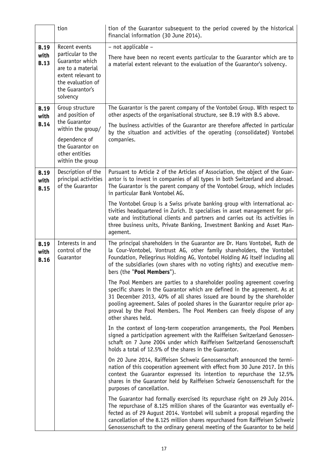|                                    | tion                                                                                                                                | tion of the Guarantor subsequent to the period covered by the historical<br>financial information (30 June 2014).                                                                                                                                                                                                                                                                                                 |
|------------------------------------|-------------------------------------------------------------------------------------------------------------------------------------|-------------------------------------------------------------------------------------------------------------------------------------------------------------------------------------------------------------------------------------------------------------------------------------------------------------------------------------------------------------------------------------------------------------------|
| <b>B.19</b>                        | Recent events                                                                                                                       | - not applicable -                                                                                                                                                                                                                                                                                                                                                                                                |
| with<br><b>B.13</b>                | particular to the<br>Guarantor which<br>are to a material<br>extent relevant to<br>the evaluation of<br>the Guarantor's<br>solvency | There have been no recent events particular to the Guarantor which are to<br>a material extent relevant to the evaluation of the Guarantor's solvency.                                                                                                                                                                                                                                                            |
| <b>B.19</b><br>with                | Group structure<br>and position of                                                                                                  | The Guarantor is the parent company of the Vontobel Group. With respect to<br>other aspects of the organisational structure, see B.19 with B.5 above.                                                                                                                                                                                                                                                             |
| <b>B.14</b>                        | the Guarantor<br>within the group/                                                                                                  | The business activities of the Guarantor are therefore affected in particular<br>by the situation and activities of the operating (consolidated) Vontobel                                                                                                                                                                                                                                                         |
|                                    | dependence of<br>the Guarantor on<br>other entities<br>within the group                                                             | companies.                                                                                                                                                                                                                                                                                                                                                                                                        |
| <b>B.19</b><br>with<br><b>B.15</b> | Description of the<br>principal activities<br>of the Guarantor                                                                      | Pursuant to Article 2 of the Articles of Association, the object of the Guar-<br>antor is to invest in companies of all types in both Switzerland and abroad.<br>The Guarantor is the parent company of the Vontobel Group, which includes<br>in particular Bank Vontobel AG.                                                                                                                                     |
|                                    |                                                                                                                                     | The Vontobel Group is a Swiss private banking group with international ac-<br>tivities headquartered in Zurich. It specialises in asset management for pri-<br>vate and institutional clients and partners and carries out its activities in<br>three business units, Private Banking, Investment Banking and Asset Man-<br>agement.                                                                              |
| <b>B.19</b><br>with<br><b>B.16</b> | Interests in and<br>control of the<br>Guarantor                                                                                     | The principal shareholders in the Guarantor are Dr. Hans Vontobel, Ruth de<br>la Cour-Vontobel, Vontrust AG, other family shareholders, the Vontobel<br>Foundation, Pellegrinus Holding AG, Vontobel Holding AG itself including all<br>of the subsidiaries (own shares with no voting rights) and executive mem-<br>bers (the "Pool Members").                                                                   |
|                                    |                                                                                                                                     | The Pool Members are parties to a shareholder pooling agreement covering<br>specific shares in the Guarantor which are defined in the agreement. As at<br>31 December 2013, 40% of all shares issued are bound by the shareholder<br>pooling agreement. Sales of pooled shares in the Guarantor require prior ap-<br>proval by the Pool Members. The Pool Members can freely dispose of any<br>other shares held. |
|                                    |                                                                                                                                     | In the context of long-term cooperation arrangements, the Pool Members<br>signed a participation agreement with the Raiffeisen Switzerland Genossen-<br>schaft on 7 June 2004 under which Raiffeisen Switzerland Genossenschaft<br>holds a total of 12.5% of the shares in the Guarantor.                                                                                                                         |
|                                    |                                                                                                                                     | On 20 June 2014, Raiffeisen Schweiz Genossenschaft announced the termi-<br>nation of this cooperation agreement with effect from 30 June 2017. In this<br>context the Guarantor expressed its intention to repurchase the 12.5%<br>shares in the Guarantor held by Raiffeisen Schweiz Genossenschaft for the<br>purposes of cancellation.                                                                         |
|                                    |                                                                                                                                     | The Guarantor had formally exercised its repurchase right on 29 July 2014.<br>The repurchase of 8.125 million shares of the Guarantor was eventually ef-<br>fected as of 29 August 2014. Vontobel will submit a proposal regarding the<br>cancellation of the 8.125 million shares repurchased from Raiffeisen Schweiz<br>Genossenschaft to the ordinary general meeting of the Guarantor to be held              |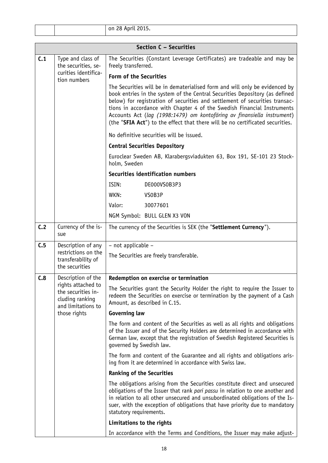| $\sim$ $\sim$ $\sim$ $\sim$<br>ററ<br>$\sim$ $\sim$ $\sim$ $\sim$<br>on<br>.<br>-40<br>$\sim$ $\angle$ 0.15.<br>.<br>____ |  |
|--------------------------------------------------------------------------------------------------------------------------|--|
|--------------------------------------------------------------------------------------------------------------------------|--|

| Section C - Securities |                                                                                   |                                                                                                                                                                                                                                                                                                                                                                                                                                                                                  |  |
|------------------------|-----------------------------------------------------------------------------------|----------------------------------------------------------------------------------------------------------------------------------------------------------------------------------------------------------------------------------------------------------------------------------------------------------------------------------------------------------------------------------------------------------------------------------------------------------------------------------|--|
| C.1                    | Type and class of<br>the securities, se-<br>curities identifica-                  | The Securities (Constant Leverage Certificates) are tradeable and may be<br>freely transferred.                                                                                                                                                                                                                                                                                                                                                                                  |  |
|                        | tion numbers                                                                      | Form of the Securities                                                                                                                                                                                                                                                                                                                                                                                                                                                           |  |
|                        |                                                                                   | The Securities will be in dematerialised form and will only be evidenced by<br>book entries in the system of the Central Securities Depository (as defined<br>below) for registration of securities and settlement of securities transac-<br>tions in accordance with Chapter 4 of the Swedish Financial Instruments<br>Accounts Act (lag (1998:1479) om kontoföring av finansiella instrument)<br>(the "SFIA Act") to the effect that there will be no certificated securities. |  |
|                        |                                                                                   | No definitive securities will be issued.                                                                                                                                                                                                                                                                                                                                                                                                                                         |  |
|                        |                                                                                   | <b>Central Securities Depository</b>                                                                                                                                                                                                                                                                                                                                                                                                                                             |  |
|                        |                                                                                   | Euroclear Sweden AB, Klarabergsviadukten 63, Box 191, SE-101 23 Stock-<br>holm, Sweden                                                                                                                                                                                                                                                                                                                                                                                           |  |
|                        |                                                                                   | Securities identification numbers                                                                                                                                                                                                                                                                                                                                                                                                                                                |  |
|                        |                                                                                   | ISIN:<br>DE000VS0B3P3                                                                                                                                                                                                                                                                                                                                                                                                                                                            |  |
|                        |                                                                                   | WKN:<br>VSOB3P                                                                                                                                                                                                                                                                                                                                                                                                                                                                   |  |
|                        |                                                                                   | Valor:<br>30077601                                                                                                                                                                                                                                                                                                                                                                                                                                                               |  |
|                        |                                                                                   | NGM Symbol: BULL GLEN X3 VON                                                                                                                                                                                                                                                                                                                                                                                                                                                     |  |
| C.2                    | Currency of the is-<br>sue                                                        | The currency of the Securities is SEK (the "Settlement Currency").                                                                                                                                                                                                                                                                                                                                                                                                               |  |
| C.5                    | Description of any<br>restrictions on the                                         | - not applicable -                                                                                                                                                                                                                                                                                                                                                                                                                                                               |  |
|                        | transferability of<br>the securities                                              | The Securities are freely transferable.                                                                                                                                                                                                                                                                                                                                                                                                                                          |  |
| C.8                    | Description of the                                                                | Redemption on exercise or termination                                                                                                                                                                                                                                                                                                                                                                                                                                            |  |
|                        | rights attached to<br>the securities in-<br>cluding ranking<br>and limitations to | The Securities grant the Security Holder the right to require the Issuer to<br>redeem the Securities on exercise or termination by the payment of a Cash<br>Amount, as described in C.15.                                                                                                                                                                                                                                                                                        |  |
|                        | those rights                                                                      | <b>Governing law</b>                                                                                                                                                                                                                                                                                                                                                                                                                                                             |  |
|                        |                                                                                   | The form and content of the Securities as well as all rights and obligations<br>of the Issuer and of the Security Holders are determined in accordance with<br>German law, except that the registration of Swedish Registered Securities is<br>governed by Swedish law.                                                                                                                                                                                                          |  |
|                        |                                                                                   | The form and content of the Guarantee and all rights and obligations aris-<br>ing from it are determined in accordance with Swiss law.                                                                                                                                                                                                                                                                                                                                           |  |
|                        |                                                                                   | <b>Ranking of the Securities</b>                                                                                                                                                                                                                                                                                                                                                                                                                                                 |  |
|                        |                                                                                   | The obligations arising from the Securities constitute direct and unsecured<br>obligations of the Issuer that rank pari passu in relation to one another and<br>in relation to all other unsecured and unsubordinated obligations of the Is-<br>suer, with the exception of obligations that have priority due to mandatory<br>statutory requirements.                                                                                                                           |  |
|                        |                                                                                   | Limitations to the rights                                                                                                                                                                                                                                                                                                                                                                                                                                                        |  |
|                        |                                                                                   | In accordance with the Terms and Conditions, the Issuer may make adjust-                                                                                                                                                                                                                                                                                                                                                                                                         |  |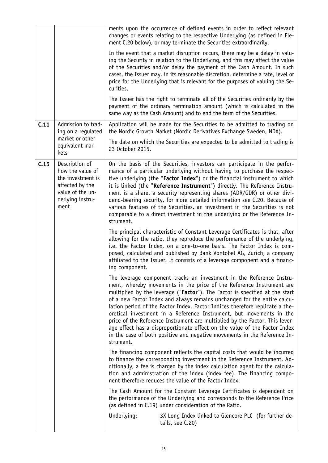|      |                                                                                                                            | ments upon the occurrence of defined events in order to reflect relevant<br>changes or events relating to the respective Underlying (as defined in Ele-<br>ment C.20 below), or may terminate the Securities extraordinarily.                                                                                                                                                                                                                                                                                                                                                                                                                                                                                       |
|------|----------------------------------------------------------------------------------------------------------------------------|---------------------------------------------------------------------------------------------------------------------------------------------------------------------------------------------------------------------------------------------------------------------------------------------------------------------------------------------------------------------------------------------------------------------------------------------------------------------------------------------------------------------------------------------------------------------------------------------------------------------------------------------------------------------------------------------------------------------|
|      |                                                                                                                            | In the event that a market disruption occurs, there may be a delay in valu-<br>ing the Security in relation to the Underlying, and this may affect the value<br>of the Securities and/or delay the payment of the Cash Amount. In such<br>cases, the Issuer may, in its reasonable discretion, determine a rate, level or<br>price for the Underlying that is relevant for the purposes of valuing the Se-<br>curities.                                                                                                                                                                                                                                                                                             |
|      |                                                                                                                            | The Issuer has the right to terminate all of the Securities ordinarily by the<br>payment of the ordinary termination amount (which is calculated in the<br>same way as the Cash Amount) and to end the term of the Securities.                                                                                                                                                                                                                                                                                                                                                                                                                                                                                      |
| C.11 | Admission to trad-<br>ing on a regulated                                                                                   | Application will be made for the Securities to be admitted to trading on<br>the Nordic Growth Market (Nordic Derivatives Exchange Sweden, NDX).                                                                                                                                                                                                                                                                                                                                                                                                                                                                                                                                                                     |
|      | market or other<br>equivalent mar-<br>kets                                                                                 | The date on which the Securities are expected to be admitted to trading is<br>23 October 2015.                                                                                                                                                                                                                                                                                                                                                                                                                                                                                                                                                                                                                      |
| C.15 | Description of<br>how the value of<br>the investment is<br>affected by the<br>value of the un-<br>derlying instru-<br>ment | On the basis of the Securities, investors can participate in the perfor-<br>mance of a particular underlying without having to purchase the respec-<br>tive underlying (the "Factor Index") or the financial instrument to which<br>it is linked (the "Reference Instrument") directly. The Reference Instru-<br>ment is a share, a security representing shares (ADR/GDR) or other divi-<br>dend-bearing security, for more detailed information see C.20. Because of<br>various features of the Securities, an investment in the Securities is not<br>comparable to a direct investment in the underlying or the Reference In-<br>strument.                                                                       |
|      |                                                                                                                            | The principal characteristic of Constant Leverage Certificates is that, after<br>allowing for the ratio, they reproduce the performance of the underlying,<br>i.e. the Factor Index, on a one-to-one basis. The Factor Index is com-<br>posed, calculated and published by Bank Vontobel AG, Zurich, a company<br>affiliated to the Issuer. It consists of a leverage component and a financ-<br>ing component.                                                                                                                                                                                                                                                                                                     |
|      |                                                                                                                            | The leverage component tracks an investment in the Reference Instru-<br>ment, whereby movements in the price of the Reference Instrument are<br>multiplied by the leverage ("Factor"). The Factor is specified at the start<br>of a new Factor Index and always remains unchanged for the entire calcu-<br>lation period of the Factor Index. Factor Indices therefore replicate a the-<br>oretical investment in a Reference Instrument, but movements in the<br>price of the Reference Instrument are multiplied by the Factor. This lever-<br>age effect has a disproportionate effect on the value of the Factor Index<br>in the case of both positive and negative movements in the Reference In-<br>strument. |
|      |                                                                                                                            | The financing component reflects the capital costs that would be incurred<br>to finance the corresponding investment in the Reference Instrument. Ad-<br>ditionally, a fee is charged by the index calculation agent for the calcula-<br>tion and administration of the index (index fee). The financing compo-<br>nent therefore reduces the value of the Factor Index.                                                                                                                                                                                                                                                                                                                                            |
|      |                                                                                                                            | The Cash Amount for the Constant Leverage Certificates is dependent on<br>the performance of the Underlying and corresponds to the Reference Price<br>(as defined in C.19) under consideration of the Ratio.                                                                                                                                                                                                                                                                                                                                                                                                                                                                                                        |
|      |                                                                                                                            | Underlying:<br>3X Long Index linked to Glencore PLC (for further de-<br>tails, see C.20)                                                                                                                                                                                                                                                                                                                                                                                                                                                                                                                                                                                                                            |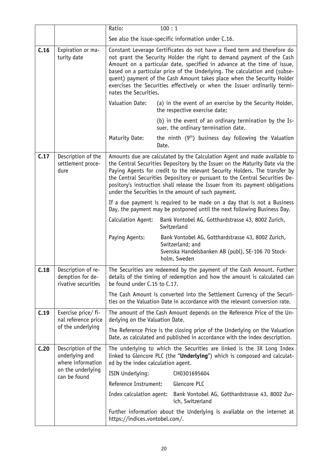|      |                                                               | Ratio:                             | 100:1                                                                                                                                                                                                                                                                                                                                                                                                                                                             |
|------|---------------------------------------------------------------|------------------------------------|-------------------------------------------------------------------------------------------------------------------------------------------------------------------------------------------------------------------------------------------------------------------------------------------------------------------------------------------------------------------------------------------------------------------------------------------------------------------|
|      |                                                               |                                    | See also the issue-specific information under C.16.                                                                                                                                                                                                                                                                                                                                                                                                               |
| C.16 | Expiration or ma-<br>turity date                              | nates the Securities.              | Constant Leverage Certificates do not have a fixed term and therefore do<br>not grant the Security Holder the right to demand payment of the Cash<br>Amount on a particular date, specified in advance at the time of issue,<br>based on a particular price of the Underlying. The calculation and (subse-<br>quent) payment of the Cash Amount takes place when the Security Holder<br>exercises the Securities effectively or when the Issuer ordinarily termi- |
|      |                                                               | Valuation Date:                    | (a) in the event of an exercise by the Security Holder,<br>the respective exercise date;                                                                                                                                                                                                                                                                                                                                                                          |
|      |                                                               |                                    | (b) in the event of an ordinary termination by the Is-<br>suer, the ordinary termination date.                                                                                                                                                                                                                                                                                                                                                                    |
|      |                                                               | Maturity Date:                     | the ninth $(9th)$ business day following the Valuation<br>Date.                                                                                                                                                                                                                                                                                                                                                                                                   |
| C.17 | Description of the<br>settlement proce-<br>dure               |                                    | Amounts due are calculated by the Calculation Agent and made available to<br>the Central Securities Depository by the Issuer on the Maturity Date via the<br>Paying Agents for credit to the relevant Security Holders. The transfer by<br>the Central Securities Depository or pursuant to the Central Securities De-<br>pository's instruction shall release the Issuer from its payment obligations<br>under the Securities in the amount of such payment.     |
|      |                                                               |                                    | If a due payment is required to be made on a day that is not a Business<br>Day, the payment may be postponed until the next following Business Day.                                                                                                                                                                                                                                                                                                               |
|      |                                                               | Calculation Agent:                 | Bank Vontobel AG, Gotthardstrasse 43, 8002 Zurich,<br>Switzerland                                                                                                                                                                                                                                                                                                                                                                                                 |
|      |                                                               | Paying Agents:                     | Bank Vontobel AG, Gotthardstrasse 43, 8002 Zurich,<br>Switzerland; and<br>Svenska Handelsbanken AB (publ), SE-106 70 Stock-<br>holm, Sweden                                                                                                                                                                                                                                                                                                                       |
| C.18 | Description of re-<br>demption for de-<br>rivative securities | be found under C.15 to C.17.       | The Securities are redeemed by the payment of the Cash Amount. Further<br>details of the timing of redemption and how the amount is calculated can                                                                                                                                                                                                                                                                                                                |
|      |                                                               |                                    | The Cash Amount is converted into the Settlement Currency of the Securi-<br>ties on the Valuation Date in accordance with the relevant conversion rate.                                                                                                                                                                                                                                                                                                           |
| C.19 | Exercise price/ fi-<br>nal reference price                    | derlying on the Valuation Date.    | The amount of the Cash Amount depends on the Reference Price of the Un-                                                                                                                                                                                                                                                                                                                                                                                           |
|      | of the underlying                                             |                                    | The Reference Price is the closing price of the Underlying on the Valuation<br>Date, as calculated and published in accordance with the index description.                                                                                                                                                                                                                                                                                                        |
| C.20 | Description of the<br>underlying and<br>where information     | ed by the index calculation agent. | The underlying to which the Securities are linked is the 3X Long Index<br>linked to Glencore PLC (the "Underlying") which is composed and calculat-                                                                                                                                                                                                                                                                                                               |
|      | on the underlying<br>can be found                             | ISIN Underlying:                   | CH0301695604                                                                                                                                                                                                                                                                                                                                                                                                                                                      |
|      |                                                               | Reference Instrument:              | Glencore PLC                                                                                                                                                                                                                                                                                                                                                                                                                                                      |
|      |                                                               | Index calculation agent:           | Bank Vontobel AG, Gotthardstrasse 43, 8002 Zur-<br>ich, Switzerland                                                                                                                                                                                                                                                                                                                                                                                               |
|      |                                                               | https://indices.vontobel.com/.     | Further information about the Underlying is available on the internet at                                                                                                                                                                                                                                                                                                                                                                                          |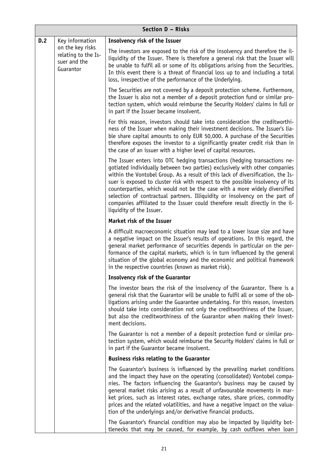|     | Section D - Risks                                                    |                                                                                                                                                                                                                                                                                                                                                                                                                                                                                                                                                                                                         |  |
|-----|----------------------------------------------------------------------|---------------------------------------------------------------------------------------------------------------------------------------------------------------------------------------------------------------------------------------------------------------------------------------------------------------------------------------------------------------------------------------------------------------------------------------------------------------------------------------------------------------------------------------------------------------------------------------------------------|--|
| D.2 | Key information                                                      | Insolvency risk of the Issuer                                                                                                                                                                                                                                                                                                                                                                                                                                                                                                                                                                           |  |
|     | on the key risks<br>relating to the Is-<br>suer and the<br>Guarantor | The investors are exposed to the risk of the insolvency and therefore the il-<br>liquidity of the Issuer. There is therefore a general risk that the Issuer will<br>be unable to fulfil all or some of its obligations arising from the Securities.<br>In this event there is a threat of financial loss up to and including a total<br>loss, irrespective of the performance of the Underlying.                                                                                                                                                                                                        |  |
|     |                                                                      | The Securities are not covered by a deposit protection scheme. Furthermore,<br>the Issuer is also not a member of a deposit protection fund or similar pro-<br>tection system, which would reimburse the Security Holders' claims in full or<br>in part if the Issuer became insolvent.                                                                                                                                                                                                                                                                                                                 |  |
|     |                                                                      | For this reason, investors should take into consideration the creditworthi-<br>ness of the Issuer when making their investment decisions. The Issuer's lia-<br>ble share capital amounts to only EUR 50,000. A purchase of the Securities<br>therefore exposes the investor to a significantly greater credit risk than in<br>the case of an issuer with a higher level of capital resources.                                                                                                                                                                                                           |  |
|     |                                                                      | The Issuer enters into OTC hedging transactions (hedging transactions ne-<br>gotiated individually between two parties) exclusively with other companies<br>within the Vontobel Group. As a result of this lack of diversification, the Is-<br>suer is exposed to cluster risk with respect to the possible insolvency of its<br>counterparties, which would not be the case with a more widely diversified<br>selection of contractual partners. Illiquidity or insolvency on the part of<br>companies affiliated to the Issuer could therefore result directly in the il-<br>liquidity of the Issuer. |  |
|     |                                                                      | Market risk of the Issuer                                                                                                                                                                                                                                                                                                                                                                                                                                                                                                                                                                               |  |
|     |                                                                      | A difficult macroeconomic situation may lead to a lower issue size and have<br>a negative impact on the Issuer's results of operations. In this regard, the<br>general market performance of securities depends in particular on the per-<br>formance of the capital markets, which is in turn influenced by the general<br>situation of the global economy and the economic and political framework<br>in the respective countries (known as market risk).                                                                                                                                             |  |
|     |                                                                      | <b>Insolvency risk of the Guarantor</b>                                                                                                                                                                                                                                                                                                                                                                                                                                                                                                                                                                 |  |
|     |                                                                      | The investor bears the risk of the insolvency of the Guarantor. There is a<br>general risk that the Guarantor will be unable to fulfil all or some of the ob-<br>ligations arising under the Guarantee undertaking. For this reason, investors<br>should take into consideration not only the creditworthiness of the Issuer,<br>but also the creditworthiness of the Guarantor when making their invest-<br>ment decisions.                                                                                                                                                                            |  |
|     |                                                                      | The Guarantor is not a member of a deposit protection fund or similar pro-<br>tection system, which would reimburse the Security Holders' claims in full or<br>in part if the Guarantor became insolvent.                                                                                                                                                                                                                                                                                                                                                                                               |  |
|     |                                                                      | <b>Business risks relating to the Guarantor</b>                                                                                                                                                                                                                                                                                                                                                                                                                                                                                                                                                         |  |
|     |                                                                      | The Guarantor's business is influenced by the prevailing market conditions<br>and the impact they have on the operating (consolidated) Vontobel compa-<br>nies. The factors influencing the Guarantor's business may be caused by<br>general market risks arising as a result of unfavourable movements in mar-<br>ket prices, such as interest rates, exchange rates, share prices, commodity<br>prices and the related volatilities, and have a negative impact on the valua-<br>tion of the underlyings and/or derivative financial products.                                                        |  |
|     |                                                                      | The Guarantor's financial condition may also be impacted by liquidity bot-<br>tlenecks that may be caused, for example, by cash outflows when loan                                                                                                                                                                                                                                                                                                                                                                                                                                                      |  |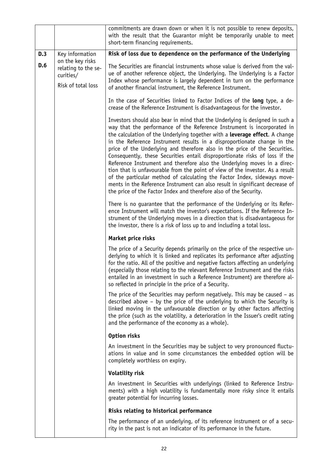|     |                                                                            | commitments are drawn down or when it is not possible to renew deposits,<br>with the result that the Guarantor might be temporarily unable to meet<br>short-term financing requirements.                                                                                                                                                                                                                                                                                                                                                                                                                                                                                                                                                                                                                                                                                     |
|-----|----------------------------------------------------------------------------|------------------------------------------------------------------------------------------------------------------------------------------------------------------------------------------------------------------------------------------------------------------------------------------------------------------------------------------------------------------------------------------------------------------------------------------------------------------------------------------------------------------------------------------------------------------------------------------------------------------------------------------------------------------------------------------------------------------------------------------------------------------------------------------------------------------------------------------------------------------------------|
| D.3 | Key information                                                            | Risk of loss due to dependence on the performance of the Underlying                                                                                                                                                                                                                                                                                                                                                                                                                                                                                                                                                                                                                                                                                                                                                                                                          |
| D.6 | on the key risks<br>relating to the se-<br>curities/<br>Risk of total loss | The Securities are financial instruments whose value is derived from the val-<br>ue of another reference object, the Underlying. The Underlying is a Factor<br>Index whose performance is largely dependent in turn on the performance<br>of another financial instrument, the Reference Instrument.                                                                                                                                                                                                                                                                                                                                                                                                                                                                                                                                                                         |
|     |                                                                            | In the case of Securities linked to Factor Indices of the long type, a de-<br>crease of the Reference Instrument is disadvantageous for the investor.                                                                                                                                                                                                                                                                                                                                                                                                                                                                                                                                                                                                                                                                                                                        |
|     |                                                                            | Investors should also bear in mind that the Underlying is designed in such a<br>way that the performance of the Reference Instrument is incorporated in<br>the calculation of the Underlying together with a leverage effect. A change<br>in the Reference Instrument results in a disproportionate change in the<br>price of the Underlying and therefore also in the price of the Securities.<br>Consequently, these Securities entail disproportionate risks of loss if the<br>Reference Instrument and therefore also the Underlying moves in a direc-<br>tion that is unfavourable from the point of view of the investor. As a result<br>of the particular method of calculating the Factor Index, sideways move-<br>ments in the Reference Instrument can also result in significant decrease of<br>the price of the Factor Index and therefore also of the Security. |
|     |                                                                            | There is no guarantee that the performance of the Underlying or its Refer-<br>ence Instrument will match the investor's expectations. If the Reference In-<br>strument of the Underlying moves in a direction that is disadvantageous for<br>the investor, there is a risk of loss up to and including a total loss.                                                                                                                                                                                                                                                                                                                                                                                                                                                                                                                                                         |
|     |                                                                            | Market price risks                                                                                                                                                                                                                                                                                                                                                                                                                                                                                                                                                                                                                                                                                                                                                                                                                                                           |
|     |                                                                            | The price of a Security depends primarily on the price of the respective un-<br>derlying to which it is linked and replicates its performance after adjusting<br>for the ratio. All of the positive and negative factors affecting an underlying<br>(especially those relating to the relevant Reference Instrument and the risks<br>entailed in an investment in such a Reference Instrument) are therefore al-<br>so reflected in principle in the price of a Security.                                                                                                                                                                                                                                                                                                                                                                                                    |
|     |                                                                            | The price of the Securities may perform negatively. This may be caused $-$ as<br>described above - by the price of the underlying to which the Security is<br>linked moving in the unfavourable direction or by other factors affecting<br>the price (such as the volatility, a deterioration in the Issuer's credit rating<br>and the performance of the economy as a whole).                                                                                                                                                                                                                                                                                                                                                                                                                                                                                               |
|     |                                                                            |                                                                                                                                                                                                                                                                                                                                                                                                                                                                                                                                                                                                                                                                                                                                                                                                                                                                              |
|     |                                                                            | Option risks                                                                                                                                                                                                                                                                                                                                                                                                                                                                                                                                                                                                                                                                                                                                                                                                                                                                 |
|     |                                                                            | An investment in the Securities may be subject to very pronounced fluctu-<br>ations in value and in some circumstances the embedded option will be<br>completely worthless on expiry.                                                                                                                                                                                                                                                                                                                                                                                                                                                                                                                                                                                                                                                                                        |
|     |                                                                            | <b>Volatility risk</b>                                                                                                                                                                                                                                                                                                                                                                                                                                                                                                                                                                                                                                                                                                                                                                                                                                                       |
|     |                                                                            | An investment in Securities with underlyings (linked to Reference Instru-<br>ments) with a high volatility is fundamentally more risky since it entails<br>greater potential for incurring losses.                                                                                                                                                                                                                                                                                                                                                                                                                                                                                                                                                                                                                                                                           |
|     |                                                                            | Risks relating to historical performance                                                                                                                                                                                                                                                                                                                                                                                                                                                                                                                                                                                                                                                                                                                                                                                                                                     |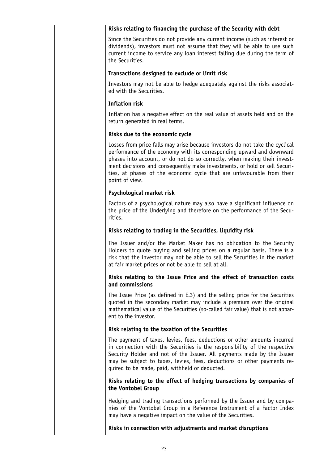| Since the Securities do not provide any current income (such as interest or<br>dividends), investors must not assume that they will be able to use such<br>current income to service any loan interest falling due during the term of<br>the Securities.<br>Transactions designed to exclude or limit risk<br>Investors may not be able to hedge adequately against the risks associat-<br>ed with the Securities.<br><b>Inflation risk</b><br>Inflation has a negative effect on the real value of assets held and on the<br>return generated in real terms.<br>Risks due to the economic cycle<br>Losses from price falls may arise because investors do not take the cyclical<br>performance of the economy with its corresponding upward and downward<br>phases into account, or do not do so correctly, when making their invest-<br>ment decisions and consequently make investments, or hold or sell Securi-<br>ties, at phases of the economic cycle that are unfavourable from their<br>point of view.<br>Psychological market risk<br>Factors of a psychological nature may also have a significant influence on<br>the price of the Underlying and therefore on the performance of the Secu-<br>rities.<br>Risks relating to trading in the Securities, liquidity risk<br>The Issuer and/or the Market Maker has no obligation to the Security<br>Holders to quote buying and selling prices on a regular basis. There is a<br>risk that the investor may not be able to sell the Securities in the market<br>at fair market prices or not be able to sell at all.<br>Risks relating to the Issue Price and the effect of transaction costs<br>and commissions<br>The Issue Price (as defined in E.3) and the selling price for the Securities<br>quoted in the secondary market may include a premium over the original<br>mathematical value of the Securities (so-called fair value) that is not appar-<br>ent to the investor.<br>Risk relating to the taxation of the Securities<br>The payment of taxes, levies, fees, deductions or other amounts incurred<br>in connection with the Securities is the responsibility of the respective<br>Security Holder and not of the Issuer. All payments made by the Issuer<br>may be subject to taxes, levies, fees, deductions or other payments re-<br>quired to be made, paid, withheld or deducted.<br>Risks relating to the effect of hedging transactions by companies of<br>the Vontobel Group<br>Hedging and trading transactions performed by the Issuer and by compa-<br>nies of the Vontobel Group in a Reference Instrument of a Factor Index<br>may have a negative impact on the value of the Securities.<br>Risks in connection with adjustments and market disruptions |  | Risks relating to financing the purchase of the Security with debt |
|-------------------------------------------------------------------------------------------------------------------------------------------------------------------------------------------------------------------------------------------------------------------------------------------------------------------------------------------------------------------------------------------------------------------------------------------------------------------------------------------------------------------------------------------------------------------------------------------------------------------------------------------------------------------------------------------------------------------------------------------------------------------------------------------------------------------------------------------------------------------------------------------------------------------------------------------------------------------------------------------------------------------------------------------------------------------------------------------------------------------------------------------------------------------------------------------------------------------------------------------------------------------------------------------------------------------------------------------------------------------------------------------------------------------------------------------------------------------------------------------------------------------------------------------------------------------------------------------------------------------------------------------------------------------------------------------------------------------------------------------------------------------------------------------------------------------------------------------------------------------------------------------------------------------------------------------------------------------------------------------------------------------------------------------------------------------------------------------------------------------------------------------------------------------------------------------------------------------------------------------------------------------------------------------------------------------------------------------------------------------------------------------------------------------------------------------------------------------------------------------------------------------------------------------------------------------------------------------------------------------------------------------------------------------------------------------------------------------------------------------------|--|--------------------------------------------------------------------|
|                                                                                                                                                                                                                                                                                                                                                                                                                                                                                                                                                                                                                                                                                                                                                                                                                                                                                                                                                                                                                                                                                                                                                                                                                                                                                                                                                                                                                                                                                                                                                                                                                                                                                                                                                                                                                                                                                                                                                                                                                                                                                                                                                                                                                                                                                                                                                                                                                                                                                                                                                                                                                                                                                                                                                 |  |                                                                    |
|                                                                                                                                                                                                                                                                                                                                                                                                                                                                                                                                                                                                                                                                                                                                                                                                                                                                                                                                                                                                                                                                                                                                                                                                                                                                                                                                                                                                                                                                                                                                                                                                                                                                                                                                                                                                                                                                                                                                                                                                                                                                                                                                                                                                                                                                                                                                                                                                                                                                                                                                                                                                                                                                                                                                                 |  |                                                                    |
|                                                                                                                                                                                                                                                                                                                                                                                                                                                                                                                                                                                                                                                                                                                                                                                                                                                                                                                                                                                                                                                                                                                                                                                                                                                                                                                                                                                                                                                                                                                                                                                                                                                                                                                                                                                                                                                                                                                                                                                                                                                                                                                                                                                                                                                                                                                                                                                                                                                                                                                                                                                                                                                                                                                                                 |  |                                                                    |
|                                                                                                                                                                                                                                                                                                                                                                                                                                                                                                                                                                                                                                                                                                                                                                                                                                                                                                                                                                                                                                                                                                                                                                                                                                                                                                                                                                                                                                                                                                                                                                                                                                                                                                                                                                                                                                                                                                                                                                                                                                                                                                                                                                                                                                                                                                                                                                                                                                                                                                                                                                                                                                                                                                                                                 |  |                                                                    |
|                                                                                                                                                                                                                                                                                                                                                                                                                                                                                                                                                                                                                                                                                                                                                                                                                                                                                                                                                                                                                                                                                                                                                                                                                                                                                                                                                                                                                                                                                                                                                                                                                                                                                                                                                                                                                                                                                                                                                                                                                                                                                                                                                                                                                                                                                                                                                                                                                                                                                                                                                                                                                                                                                                                                                 |  |                                                                    |
|                                                                                                                                                                                                                                                                                                                                                                                                                                                                                                                                                                                                                                                                                                                                                                                                                                                                                                                                                                                                                                                                                                                                                                                                                                                                                                                                                                                                                                                                                                                                                                                                                                                                                                                                                                                                                                                                                                                                                                                                                                                                                                                                                                                                                                                                                                                                                                                                                                                                                                                                                                                                                                                                                                                                                 |  |                                                                    |
|                                                                                                                                                                                                                                                                                                                                                                                                                                                                                                                                                                                                                                                                                                                                                                                                                                                                                                                                                                                                                                                                                                                                                                                                                                                                                                                                                                                                                                                                                                                                                                                                                                                                                                                                                                                                                                                                                                                                                                                                                                                                                                                                                                                                                                                                                                                                                                                                                                                                                                                                                                                                                                                                                                                                                 |  |                                                                    |
|                                                                                                                                                                                                                                                                                                                                                                                                                                                                                                                                                                                                                                                                                                                                                                                                                                                                                                                                                                                                                                                                                                                                                                                                                                                                                                                                                                                                                                                                                                                                                                                                                                                                                                                                                                                                                                                                                                                                                                                                                                                                                                                                                                                                                                                                                                                                                                                                                                                                                                                                                                                                                                                                                                                                                 |  |                                                                    |
|                                                                                                                                                                                                                                                                                                                                                                                                                                                                                                                                                                                                                                                                                                                                                                                                                                                                                                                                                                                                                                                                                                                                                                                                                                                                                                                                                                                                                                                                                                                                                                                                                                                                                                                                                                                                                                                                                                                                                                                                                                                                                                                                                                                                                                                                                                                                                                                                                                                                                                                                                                                                                                                                                                                                                 |  |                                                                    |
|                                                                                                                                                                                                                                                                                                                                                                                                                                                                                                                                                                                                                                                                                                                                                                                                                                                                                                                                                                                                                                                                                                                                                                                                                                                                                                                                                                                                                                                                                                                                                                                                                                                                                                                                                                                                                                                                                                                                                                                                                                                                                                                                                                                                                                                                                                                                                                                                                                                                                                                                                                                                                                                                                                                                                 |  |                                                                    |
|                                                                                                                                                                                                                                                                                                                                                                                                                                                                                                                                                                                                                                                                                                                                                                                                                                                                                                                                                                                                                                                                                                                                                                                                                                                                                                                                                                                                                                                                                                                                                                                                                                                                                                                                                                                                                                                                                                                                                                                                                                                                                                                                                                                                                                                                                                                                                                                                                                                                                                                                                                                                                                                                                                                                                 |  |                                                                    |
|                                                                                                                                                                                                                                                                                                                                                                                                                                                                                                                                                                                                                                                                                                                                                                                                                                                                                                                                                                                                                                                                                                                                                                                                                                                                                                                                                                                                                                                                                                                                                                                                                                                                                                                                                                                                                                                                                                                                                                                                                                                                                                                                                                                                                                                                                                                                                                                                                                                                                                                                                                                                                                                                                                                                                 |  |                                                                    |
|                                                                                                                                                                                                                                                                                                                                                                                                                                                                                                                                                                                                                                                                                                                                                                                                                                                                                                                                                                                                                                                                                                                                                                                                                                                                                                                                                                                                                                                                                                                                                                                                                                                                                                                                                                                                                                                                                                                                                                                                                                                                                                                                                                                                                                                                                                                                                                                                                                                                                                                                                                                                                                                                                                                                                 |  |                                                                    |
|                                                                                                                                                                                                                                                                                                                                                                                                                                                                                                                                                                                                                                                                                                                                                                                                                                                                                                                                                                                                                                                                                                                                                                                                                                                                                                                                                                                                                                                                                                                                                                                                                                                                                                                                                                                                                                                                                                                                                                                                                                                                                                                                                                                                                                                                                                                                                                                                                                                                                                                                                                                                                                                                                                                                                 |  |                                                                    |
|                                                                                                                                                                                                                                                                                                                                                                                                                                                                                                                                                                                                                                                                                                                                                                                                                                                                                                                                                                                                                                                                                                                                                                                                                                                                                                                                                                                                                                                                                                                                                                                                                                                                                                                                                                                                                                                                                                                                                                                                                                                                                                                                                                                                                                                                                                                                                                                                                                                                                                                                                                                                                                                                                                                                                 |  |                                                                    |
|                                                                                                                                                                                                                                                                                                                                                                                                                                                                                                                                                                                                                                                                                                                                                                                                                                                                                                                                                                                                                                                                                                                                                                                                                                                                                                                                                                                                                                                                                                                                                                                                                                                                                                                                                                                                                                                                                                                                                                                                                                                                                                                                                                                                                                                                                                                                                                                                                                                                                                                                                                                                                                                                                                                                                 |  |                                                                    |
|                                                                                                                                                                                                                                                                                                                                                                                                                                                                                                                                                                                                                                                                                                                                                                                                                                                                                                                                                                                                                                                                                                                                                                                                                                                                                                                                                                                                                                                                                                                                                                                                                                                                                                                                                                                                                                                                                                                                                                                                                                                                                                                                                                                                                                                                                                                                                                                                                                                                                                                                                                                                                                                                                                                                                 |  |                                                                    |
|                                                                                                                                                                                                                                                                                                                                                                                                                                                                                                                                                                                                                                                                                                                                                                                                                                                                                                                                                                                                                                                                                                                                                                                                                                                                                                                                                                                                                                                                                                                                                                                                                                                                                                                                                                                                                                                                                                                                                                                                                                                                                                                                                                                                                                                                                                                                                                                                                                                                                                                                                                                                                                                                                                                                                 |  |                                                                    |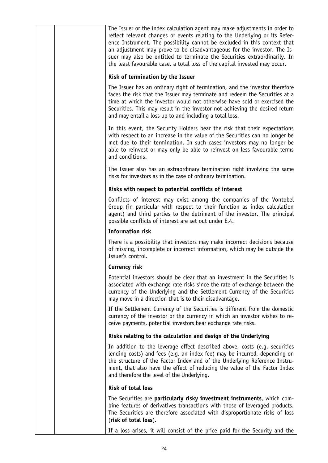|  | The Issuer or the index calculation agent may make adjustments in order to<br>reflect relevant changes or events relating to the Underlying or its Refer-<br>ence Instrument. The possibility cannot be excluded in this context that<br>an adjustment may prove to be disadvantageous for the investor. The Is-<br>suer may also be entitled to terminate the Securities extraordinarily. In<br>the least favourable case, a total loss of the capital invested may occur. |
|--|-----------------------------------------------------------------------------------------------------------------------------------------------------------------------------------------------------------------------------------------------------------------------------------------------------------------------------------------------------------------------------------------------------------------------------------------------------------------------------|
|  | Risk of termination by the Issuer                                                                                                                                                                                                                                                                                                                                                                                                                                           |
|  | The Issuer has an ordinary right of termination, and the investor therefore<br>faces the risk that the Issuer may terminate and redeem the Securities at a<br>time at which the investor would not otherwise have sold or exercised the<br>Securities. This may result in the investor not achieving the desired return<br>and may entail a loss up to and including a total loss.                                                                                          |
|  | In this event, the Security Holders bear the risk that their expectations<br>with respect to an increase in the value of the Securities can no longer be<br>met due to their termination. In such cases investors may no longer be<br>able to reinvest or may only be able to reinvest on less favourable terms<br>and conditions.                                                                                                                                          |
|  | The Issuer also has an extraordinary termination right involving the same<br>risks for investors as in the case of ordinary termination.                                                                                                                                                                                                                                                                                                                                    |
|  | Risks with respect to potential conflicts of interest                                                                                                                                                                                                                                                                                                                                                                                                                       |
|  | Conflicts of interest may exist among the companies of the Vontobel<br>Group (in particular with respect to their function as index calculation<br>agent) and third parties to the detriment of the investor. The principal<br>possible conflicts of interest are set out under E.4.                                                                                                                                                                                        |
|  | <b>Information risk</b>                                                                                                                                                                                                                                                                                                                                                                                                                                                     |
|  | There is a possibility that investors may make incorrect decisions because<br>of missing, incomplete or incorrect information, which may be outside the<br>Issuer's control.                                                                                                                                                                                                                                                                                                |
|  | Currency risk                                                                                                                                                                                                                                                                                                                                                                                                                                                               |
|  | Potential investors should be clear that an investment in the Securities is<br>associated with exchange rate risks since the rate of exchange between the<br>currency of the Underlying and the Settlement Currency of the Securities<br>may move in a direction that is to their disadvantage.                                                                                                                                                                             |
|  | If the Settlement Currency of the Securities is different from the domestic<br>currency of the investor or the currency in which an investor wishes to re-<br>ceive payments, potential investors bear exchange rate risks.                                                                                                                                                                                                                                                 |
|  | Risks relating to the calculation and design of the Underlying                                                                                                                                                                                                                                                                                                                                                                                                              |
|  | In addition to the leverage effect described above, costs (e.g. securities<br>lending costs) and fees (e.g. an index fee) may be incurred, depending on<br>the structure of the Factor Index and of the Underlying Reference Instru-<br>ment, that also have the effect of reducing the value of the Factor Index<br>and therefore the level of the Underlying.                                                                                                             |
|  | <b>Risk of total loss</b>                                                                                                                                                                                                                                                                                                                                                                                                                                                   |
|  | The Securities are particularly risky investment instruments, which com-<br>bine features of derivatives transactions with those of leveraged products.<br>The Securities are therefore associated with disproportionate risks of loss<br>(risk of total loss).                                                                                                                                                                                                             |
|  | If a loss arises, it will consist of the price paid for the Security and the                                                                                                                                                                                                                                                                                                                                                                                                |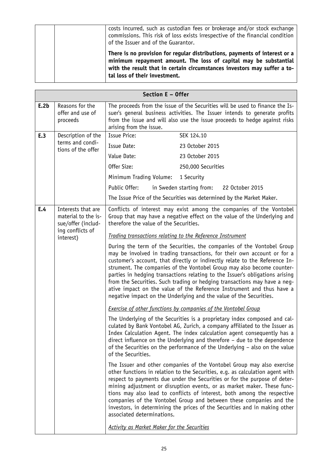| costs incurred, such as custodian fees or brokerage and/or stock exchange<br>commissions. This risk of loss exists irrespective of the financial condition<br>of the Issuer and of the Guarantor.                                                           |
|-------------------------------------------------------------------------------------------------------------------------------------------------------------------------------------------------------------------------------------------------------------|
| There is no provision for regular distributions, payments of interest or a<br>minimum repayment amount. The loss of capital may be substantial<br>with the result that in certain circumstances investors may suffer a to-<br>tal loss of their investment. |

|      | Section E - Offer                                                                                                                                                                                                                                                                                                                                                                                                                                                                                                                                                                                                      |                                                                                                                                                                                                                                                                                                                                                                                                                                                                                                                                                                                                                                     |  |
|------|------------------------------------------------------------------------------------------------------------------------------------------------------------------------------------------------------------------------------------------------------------------------------------------------------------------------------------------------------------------------------------------------------------------------------------------------------------------------------------------------------------------------------------------------------------------------------------------------------------------------|-------------------------------------------------------------------------------------------------------------------------------------------------------------------------------------------------------------------------------------------------------------------------------------------------------------------------------------------------------------------------------------------------------------------------------------------------------------------------------------------------------------------------------------------------------------------------------------------------------------------------------------|--|
| E.2b | Reasons for the<br>offer and use of<br>proceeds                                                                                                                                                                                                                                                                                                                                                                                                                                                                                                                                                                        | The proceeds from the issue of the Securities will be used to finance the Is-<br>suer's general business activities. The Issuer intends to generate profits<br>from the issue and will also use the issue proceeds to hedge against risks<br>arising from the issue.                                                                                                                                                                                                                                                                                                                                                                |  |
| E.3  | Description of the                                                                                                                                                                                                                                                                                                                                                                                                                                                                                                                                                                                                     | <b>Issue Price:</b><br>SEK 124.10                                                                                                                                                                                                                                                                                                                                                                                                                                                                                                                                                                                                   |  |
|      | terms and condi-<br>tions of the offer                                                                                                                                                                                                                                                                                                                                                                                                                                                                                                                                                                                 | Issue Date:<br>23 October 2015                                                                                                                                                                                                                                                                                                                                                                                                                                                                                                                                                                                                      |  |
|      |                                                                                                                                                                                                                                                                                                                                                                                                                                                                                                                                                                                                                        | Value Date:<br>23 October 2015                                                                                                                                                                                                                                                                                                                                                                                                                                                                                                                                                                                                      |  |
|      |                                                                                                                                                                                                                                                                                                                                                                                                                                                                                                                                                                                                                        | Offer Size:<br>250,000 Securities                                                                                                                                                                                                                                                                                                                                                                                                                                                                                                                                                                                                   |  |
|      |                                                                                                                                                                                                                                                                                                                                                                                                                                                                                                                                                                                                                        | Minimum Trading Volume:<br>1 Security                                                                                                                                                                                                                                                                                                                                                                                                                                                                                                                                                                                               |  |
|      |                                                                                                                                                                                                                                                                                                                                                                                                                                                                                                                                                                                                                        | in Sweden starting from:<br>Public Offer:<br>22 October 2015                                                                                                                                                                                                                                                                                                                                                                                                                                                                                                                                                                        |  |
|      |                                                                                                                                                                                                                                                                                                                                                                                                                                                                                                                                                                                                                        | The Issue Price of the Securities was determined by the Market Maker.                                                                                                                                                                                                                                                                                                                                                                                                                                                                                                                                                               |  |
| E.4  | Interests that are<br>material to the is-<br>sue/offer (includ-<br>ing conflicts of                                                                                                                                                                                                                                                                                                                                                                                                                                                                                                                                    | Conflicts of interest may exist among the companies of the Vontobel<br>Group that may have a negative effect on the value of the Underlying and<br>therefore the value of the Securities.                                                                                                                                                                                                                                                                                                                                                                                                                                           |  |
|      | interest)                                                                                                                                                                                                                                                                                                                                                                                                                                                                                                                                                                                                              | Trading transactions relating to the Reference Instrument                                                                                                                                                                                                                                                                                                                                                                                                                                                                                                                                                                           |  |
|      | During the term of the Securities, the companies of the Vontobel Group<br>may be involved in trading transactions, for their own account or for a<br>customer's account, that directly or indirectly relate to the Reference In-<br>strument. The companies of the Vontobel Group may also become counter-<br>parties in hedging transactions relating to the Issuer's obligations arising<br>from the Securities. Such trading or hedging transactions may have a neg-<br>ative impact on the value of the Reference Instrument and thus have a<br>negative impact on the Underlying and the value of the Securities. |                                                                                                                                                                                                                                                                                                                                                                                                                                                                                                                                                                                                                                     |  |
|      |                                                                                                                                                                                                                                                                                                                                                                                                                                                                                                                                                                                                                        | <b>Exercise of other functions by companies of the Vontobel Group</b>                                                                                                                                                                                                                                                                                                                                                                                                                                                                                                                                                               |  |
|      | The Underlying of the Securities is a proprietary index composed and cal-<br>culated by Bank Vontobel AG, Zurich, a company affiliated to the Issuer as<br>Index Calculation Agent. The index calculation agent consequently has a<br>direct influence on the Underlying and therefore - due to the dependence<br>of the Securities on the performance of the Underlying – also on the value<br>of the Securities.                                                                                                                                                                                                     |                                                                                                                                                                                                                                                                                                                                                                                                                                                                                                                                                                                                                                     |  |
|      |                                                                                                                                                                                                                                                                                                                                                                                                                                                                                                                                                                                                                        | The Issuer and other companies of the Vontobel Group may also exercise<br>other functions in relation to the Securities, e.g. as calculation agent with<br>respect to payments due under the Securities or for the purpose of deter-<br>mining adjustment or disruption events, or as market maker. These func-<br>tions may also lead to conflicts of interest, both among the respective<br>companies of the Vontobel Group and between these companies and the<br>investors, in determining the prices of the Securities and in making other<br>associated determinations.<br><b>Activity as Market Maker for the Securities</b> |  |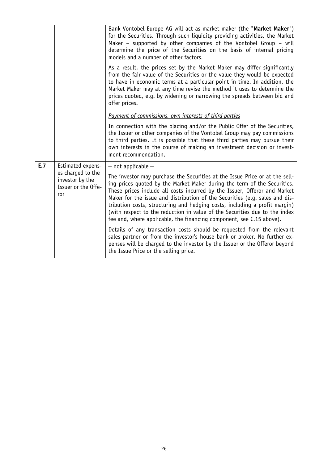|     |                                                                                         | Bank Vontobel Europe AG will act as market maker (the "Market Maker")<br>for the Securities. Through such liquidity providing activities, the Market<br>Maker - supported by other companies of the Vontobel Group - will<br>determine the price of the Securities on the basis of internal pricing<br>models and a number of other factors.                                                                                                                                                                                                                                      |
|-----|-----------------------------------------------------------------------------------------|-----------------------------------------------------------------------------------------------------------------------------------------------------------------------------------------------------------------------------------------------------------------------------------------------------------------------------------------------------------------------------------------------------------------------------------------------------------------------------------------------------------------------------------------------------------------------------------|
|     |                                                                                         | As a result, the prices set by the Market Maker may differ significantly<br>from the fair value of the Securities or the value they would be expected<br>to have in economic terms at a particular point in time. In addition, the<br>Market Maker may at any time revise the method it uses to determine the<br>prices quoted, e.g. by widening or narrowing the spreads between bid and<br>offer prices.                                                                                                                                                                        |
|     |                                                                                         | Payment of commissions, own interests of third parties                                                                                                                                                                                                                                                                                                                                                                                                                                                                                                                            |
|     |                                                                                         | In connection with the placing and/or the Public Offer of the Securities,<br>the Issuer or other companies of the Vontobel Group may pay commissions<br>to third parties. It is possible that these third parties may pursue their<br>own interests in the course of making an investment decision or invest-<br>ment recommendation.                                                                                                                                                                                                                                             |
| E.7 | Estimated expens-<br>es charged to the<br>investor by the<br>Issuer or the Offe-<br>ror | $-$ not applicable $-$<br>The investor may purchase the Securities at the Issue Price or at the sell-<br>ing prices quoted by the Market Maker during the term of the Securities.<br>These prices include all costs incurred by the Issuer, Offeror and Market<br>Maker for the issue and distribution of the Securities (e.g. sales and dis-<br>tribution costs, structuring and hedging costs, including a profit margin)<br>(with respect to the reduction in value of the Securities due to the index<br>fee and, where applicable, the financing component, see C.15 above). |
|     |                                                                                         | Details of any transaction costs should be requested from the relevant<br>sales partner or from the investor's house bank or broker. No further ex-<br>penses will be charged to the investor by the Issuer or the Offeror beyond<br>the Issue Price or the selling price.                                                                                                                                                                                                                                                                                                        |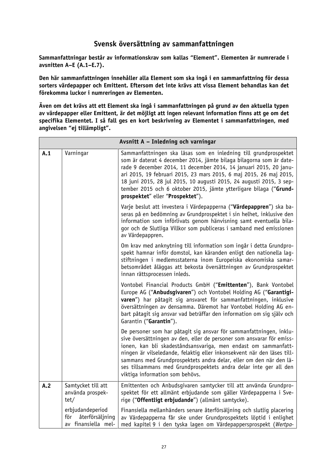## **Svensk översättning av sammanfattningen**

**Sammanfattningar består av informationskrav som kallas "Element". Elementen är numrerade i avsnitten A–E (A.1–E.7).**

**Den här sammanfattningen innehåller alla Element som ska ingå i en sammanfattning för dessa sorters värdepapper och Emittent. Eftersom det inte krävs att vissa Element behandlas kan det förekomma luckor i numreringen av Elementen.**

**Även om det krävs att ett Element ska ingå i sammanfattningen på grund av den aktuella typen av värdepapper eller Emittent, är det möjligt att ingen relevant information finns att ge om det specifika Elementet. I så fall ges en kort beskrivning av Elementet i sammanfattningen, med angivelsen "ej tillämpligt".**

|     | Avsnitt A - Inledning och varningar                               |                                                                                                                                                                                                                                                                                                                                                                                                                                                                         |  |
|-----|-------------------------------------------------------------------|-------------------------------------------------------------------------------------------------------------------------------------------------------------------------------------------------------------------------------------------------------------------------------------------------------------------------------------------------------------------------------------------------------------------------------------------------------------------------|--|
| A.1 | Varningar                                                         | Sammanfattningen ska läsas som en inledning till grundprospektet<br>som är daterat 4 december 2014, jämte bilaga bilagorna som är date-<br>rade 9 december 2014, 11 december 2014, 14 januari 2015, 20 janu-<br>ari 2015, 19 februari 2015, 23 mars 2015, 6 maj 2015, 26 maj 2015,<br>18 juni 2015, 28 jul 2015, 10 augusti 2015, 24 augusti 2015, 3 sep-<br>tember 2015 och 6 oktober 2015, jämte ytterligare bilaga ("Grund-<br>prospektet" eller "Prospektet").      |  |
|     |                                                                   | Varje beslut att investera i Värdepapperna ("Värdepappren") ska ba-<br>seras på en bedömning av Grundprospektet i sin helhet, inklusive den<br>information som införlivats genom hänvisning samt eventuella bila-<br>gor och de Slutliga Villkor som publiceras i samband med emissionen<br>av Värdepappren.                                                                                                                                                            |  |
|     |                                                                   | Om krav med anknytning till information som ingår i detta Grundpro-<br>spekt hamnar inför domstol, kan käranden enligt den nationella lag-<br>stiftningen i medlemsstaterna inom Europeiska ekonomiska samar-<br>betsområdet åläggas att bekosta översättningen av Grundprospektet<br>innan rättsprocessen inleds.                                                                                                                                                      |  |
|     |                                                                   | Vontobel Financial Products GmbH ("Emittenten"), Bank Vontobel<br>Europe AG ("Anbudsgivaren") och Vontobel Holding AG ("Garantigi-<br>varen") har påtagit sig ansvaret för sammanfattningen, inklusive<br>översättningen av densamma. Däremot har Vontobel Holding AG en-<br>bart påtagit sig ansvar vad beträffar den information om sig själv och<br>Garantin ("Garantin").                                                                                           |  |
|     |                                                                   | De personer som har påtagit sig ansvar för sammanfattningen, inklu-<br>sive översättningen av den, eller de personer som ansvarar för emiss-<br>ionen, kan bli skadeståndsansvariga, men endast om sammanfatt-<br>ningen är vilseledande, felaktig eller inkonsekvent när den läses till-<br>sammans med Grundprospektets andra delar, eller om den när den lä-<br>ses tillsammans med Grundprospektets andra delar inte ger all den<br>viktiga information som behövs. |  |
| A.2 | Samtycket till att<br>använda prospek-<br>tet/                    | Emittenten och Anbudsgivaren samtycker till att använda Grundpro-<br>spektet för ett allmänt erbjudande som gäller Värdepapperna i Sve-<br>rige ("Offentligt erbjudande") (allmänt samtycke).                                                                                                                                                                                                                                                                           |  |
|     | erbjudandeperiod<br>återförsäljning<br>för<br>av finansiella mel- | Finansiella mellanhänders senare återförsäljning och slutlig placering<br>av Värdepapperna får ske under Grundprospektets löptid i enlighet<br>med kapitel 9 i den tyska lagen om Värdepappersprospekt (Wertpa-                                                                                                                                                                                                                                                         |  |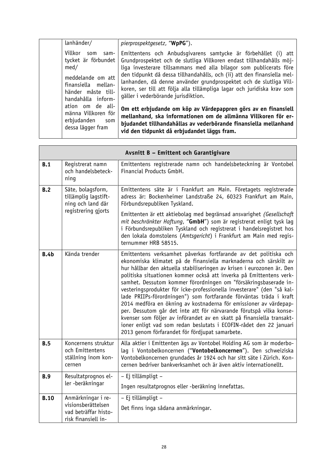| lanhänder/                                                                                                                                    | pierprospektgesetz, "WpPG").                                                                                                                                                                                                                                                                                                                                                                                                                                                    |
|-----------------------------------------------------------------------------------------------------------------------------------------------|---------------------------------------------------------------------------------------------------------------------------------------------------------------------------------------------------------------------------------------------------------------------------------------------------------------------------------------------------------------------------------------------------------------------------------------------------------------------------------|
| Villkor<br>som<br>sam-<br>tycket är förbundet<br>med/<br>meddelande om att<br>finansiella mellan-<br>händer måste till-<br>handahålla inform- | Emittentens och Anbudsgivarens samtycke är förbehållet (i) att<br>Grundprospektet och de slutliga Villkoren endast tillhandahålls möj-<br>liga investerare tillsammans med alla bilagor som publicerats före<br>den tidpunkt då dessa tillhandahålls, och (ii) att den finansiella mel-<br>lanhanden, då denne använder grundprospektet och de slutliga Vill-<br>koren, ser till att följa alla tillämpliga lagar och juridiska krav som<br>gäller i vederbörande jurisdiktion. |
| ation om de all-<br>männa Villkoren för<br>erbjudanden<br>som<br>dessa lägger fram                                                            | Om ett erbjudande om köp av Värdepappren görs av en finansiell<br>mellanhand, ska informationen om de allmänna Villkoren för er-<br>bjudandet tillhandahållas av vederbörande finansiella mellanhand<br>vid den tidpunkt då erbjudandet läggs fram.                                                                                                                                                                                                                             |

|             |                                                                                       | Avsnitt B - Emittent och Garantigivare                                                                                                                                                                                                                                                                                                                                                                                                                                                                                                                                                                                                                                                                                                                                                                                                                   |
|-------------|---------------------------------------------------------------------------------------|----------------------------------------------------------------------------------------------------------------------------------------------------------------------------------------------------------------------------------------------------------------------------------------------------------------------------------------------------------------------------------------------------------------------------------------------------------------------------------------------------------------------------------------------------------------------------------------------------------------------------------------------------------------------------------------------------------------------------------------------------------------------------------------------------------------------------------------------------------|
| B.1         | Registrerat namn<br>och handelsbeteck-<br>ning                                        | Emittentens registrerade namn och handelsbeteckning är Vontobel<br>Financial Products GmbH.                                                                                                                                                                                                                                                                                                                                                                                                                                                                                                                                                                                                                                                                                                                                                              |
| B.2         | Säte, bolagsform,<br>tillämplig lagstift-<br>ning och land där<br>registrering gjorts | Emittentens säte är i Frankfurt am Main. Företagets registrerade<br>adress är: Bockenheimer Landstraße 24, 60323 Frankfurt am Main,<br>Förbundsrepubliken Tyskland.                                                                                                                                                                                                                                                                                                                                                                                                                                                                                                                                                                                                                                                                                      |
|             |                                                                                       | Emittenten är ett aktiebolag med begränsad ansvarighet (Gesellschaft<br>mit beschränkter Haftung, "GmbH") som är registrerat enligt tysk lag<br>i Förbundsrepubliken Tyskland och registrerat i handelsregistret hos<br>den lokala domstolens (Amtsgericht) i Frankfurt am Main med regis-<br>ternummer HRB 58515.                                                                                                                                                                                                                                                                                                                                                                                                                                                                                                                                       |
| B.4b        | Kända trender                                                                         | Emittentens verksamhet påverkas fortfarande av det politiska och<br>ekonomiska klimatet på de finansiella marknaderna och särskilt av<br>hur hållbar den aktuella stabiliseringen av krisen i eurozonen är. Den<br>politiska situationen kommer också att inverka på Emittentens verk-<br>samhet. Dessutom kommer förordningen om "försäkringsbaserade in-<br>vesteringsprodukter för icke-professionella investerare" (den "så kal-<br>lade PRIIPs-förordningen") som fortfarande förväntas träda i kraft<br>2014 medföra en ökning av kostnaderna för emissioner av värdepap-<br>per. Dessutom går det inte att för närvarande förutspå vilka konse-<br>kvenser som följer av införandet av en skatt på finansiella transakt-<br>ioner enligt vad som redan beslutats i ECOFIN-rådet den 22 januari<br>2013 genom förfarandet för fördjupat samarbete. |
| B.5         | Koncernens struktur<br>och Emittentens<br>ställning inom kon-<br>cernen               | Alla aktier i Emittenten ägs av Vontobel Holding AG som är moderbo-<br>lag i Vontobelkoncernen ("Vontobelkoncernen"). Den schweiziska<br>Vontobelkoncernen grundades år 1924 och har sitt säte i Zürich. Kon-<br>cernen bedriver bankverksamhet och är även aktiv internationellt.                                                                                                                                                                                                                                                                                                                                                                                                                                                                                                                                                                       |
| <b>B.9</b>  | Resultatprognos el-                                                                   | - Ej tillämpligt -                                                                                                                                                                                                                                                                                                                                                                                                                                                                                                                                                                                                                                                                                                                                                                                                                                       |
|             | ler -beräkningar                                                                      | Ingen resultatprognos eller -beräkning innefattas.                                                                                                                                                                                                                                                                                                                                                                                                                                                                                                                                                                                                                                                                                                                                                                                                       |
| <b>B.10</b> | Anmärkningar i re-                                                                    | - Ej tillämpligt -                                                                                                                                                                                                                                                                                                                                                                                                                                                                                                                                                                                                                                                                                                                                                                                                                                       |
|             | visionsberättelsen<br>vad beträffar histo-<br>risk finansiell in-                     | Det finns inga sådana anmärkningar.                                                                                                                                                                                                                                                                                                                                                                                                                                                                                                                                                                                                                                                                                                                                                                                                                      |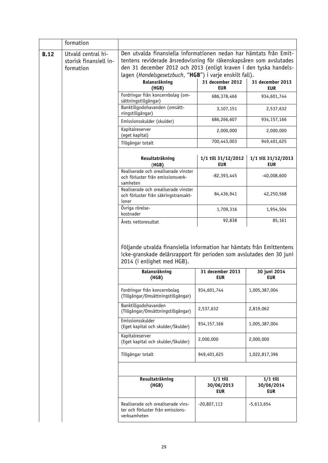|             | formation                                                 |                                                                                                                                                                                                                                                                           |                                        |                                        |
|-------------|-----------------------------------------------------------|---------------------------------------------------------------------------------------------------------------------------------------------------------------------------------------------------------------------------------------------------------------------------|----------------------------------------|----------------------------------------|
| <b>B.12</b> | Utvald central hi-<br>storisk finansiell in-<br>formation | Den utvalda finansiella informationen nedan har hämtats från Emit-<br>tentens reviderade årsredovisning för räkenskapsåren som avslutades<br>den 31 december 2012 och 2013 (enligt kraven i den tyska handels-<br>lagen (Handelsgesetzbuch, "HGB") i varje enskilt fall). |                                        |                                        |
|             |                                                           | <b>Balansräkning</b><br>(HGB)                                                                                                                                                                                                                                             | 31 december 2012<br><b>EUR</b>         | 31 december 2013<br><b>EUR</b>         |
|             |                                                           | Fordringar från koncernbolag (om-<br>sättningstillgångar)                                                                                                                                                                                                                 | 686,378,466                            | 934,601,744                            |
|             |                                                           | Banktillgodohavanden (omsätt-<br>ningstillgångar)                                                                                                                                                                                                                         | 3,107,151                              | 2,537,632                              |
|             |                                                           | Emissionsskulder (skulder)                                                                                                                                                                                                                                                | 686,266,607                            | 934, 157, 166                          |
|             |                                                           | Kapitalreserver<br>(eget kapital)                                                                                                                                                                                                                                         | 2,000,000                              | 2,000,000                              |
|             |                                                           | Tillgångar totalt                                                                                                                                                                                                                                                         | 700,443,003                            | 949,401,625                            |
|             |                                                           | Resultaträkning<br>(HGB)                                                                                                                                                                                                                                                  | 1/1 till 31/12/2012<br><b>EUR</b>      | 1/1 till 31/12/2013<br><b>EUR</b>      |
|             |                                                           | Realiserade och orealiserade vinster<br>och förluster från emissionsverk-<br>samheten                                                                                                                                                                                     | -82,393,445                            | -40,008,600                            |
|             |                                                           | Realiserade och orealiserade vinster<br>och förluster från säkringstransakt-<br>ioner                                                                                                                                                                                     | 84,436,941                             | 42,250,568                             |
|             |                                                           | Övriga rörelse-<br>kostnader                                                                                                                                                                                                                                              | 1,709,316                              | 1,954,504                              |
|             |                                                           | Årets nettoresultat                                                                                                                                                                                                                                                       | 92,838                                 | 85,161                                 |
|             |                                                           | Följande utvalda finansiella information har hämtats från Emittentens<br>icke-granskade delårsrapport för perioden som avslutades den 30 juni<br>2014 (i enlighet med HGB).                                                                                               |                                        |                                        |
|             |                                                           | Balansräkning<br>(HGB)                                                                                                                                                                                                                                                    | 31 december 2013<br><b>EUR</b>         | 30 juni 2014<br><b>EUR</b>             |
|             |                                                           | Fordringar från koncernbolag<br>(Tillgångar/Omsättningstillgångar)                                                                                                                                                                                                        | 934,601,744                            | 1,005,387,004                          |
|             |                                                           | Banktillgodohavanden<br>(Tillgångar/Omsättningstillgångar)                                                                                                                                                                                                                | 2,537,632                              | 2,819,062                              |
|             |                                                           | Emissionsskulder<br>(Eget kapital och skulder/Skulder)                                                                                                                                                                                                                    | 934, 157, 166                          | 1,005,387,004                          |
|             |                                                           | Kapitalreserver<br>(Eget kapital och skulder/Skulder)                                                                                                                                                                                                                     | 2,000,000                              | 2,000,000                              |
|             |                                                           | Tillgångar totalt                                                                                                                                                                                                                                                         | 949,401,625                            | 1,022,817,396                          |
|             |                                                           |                                                                                                                                                                                                                                                                           |                                        |                                        |
|             |                                                           | Resultaträkning<br>(HGB)                                                                                                                                                                                                                                                  | $1/1$ till<br>30/06/2013<br><b>EUR</b> | $1/1$ till<br>30/06/2014<br><b>EUR</b> |
|             |                                                           | Realiserade och orealiserade vins-<br>ter och förluster från emissions-<br>verksamheten                                                                                                                                                                                   | $-20,807,113$                          | $-5,613,654$                           |
|             |                                                           |                                                                                                                                                                                                                                                                           |                                        |                                        |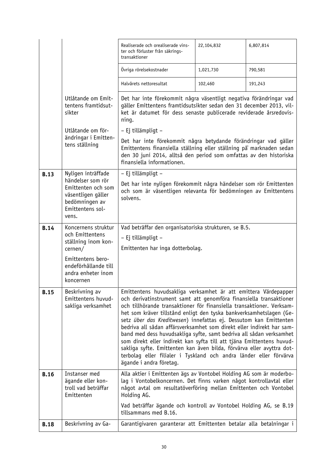|             |                                                                                         | Realiserade och orealiserade vins-<br>ter och förluster från säkrings-                                                                                                                                                                                                                                                                                                                                                                                                                                                                                                                                                                                                                                                                                        | 22,104,832 | 6,807,814 |
|-------------|-----------------------------------------------------------------------------------------|---------------------------------------------------------------------------------------------------------------------------------------------------------------------------------------------------------------------------------------------------------------------------------------------------------------------------------------------------------------------------------------------------------------------------------------------------------------------------------------------------------------------------------------------------------------------------------------------------------------------------------------------------------------------------------------------------------------------------------------------------------------|------------|-----------|
|             |                                                                                         | transaktioner                                                                                                                                                                                                                                                                                                                                                                                                                                                                                                                                                                                                                                                                                                                                                 |            |           |
|             |                                                                                         | Övriga rörelsekostnader                                                                                                                                                                                                                                                                                                                                                                                                                                                                                                                                                                                                                                                                                                                                       | 1,021,730  | 790,581   |
|             |                                                                                         | Halvårets nettoresultat                                                                                                                                                                                                                                                                                                                                                                                                                                                                                                                                                                                                                                                                                                                                       | 102,460    | 191,243   |
|             | Utlåtande om Emit-<br>tentens framtidsut-<br>sikter                                     | Det har inte förekommit några väsentligt negativa förändringar vad<br>gäller Emittentens framtidsutsikter sedan den 31 december 2013, vil-<br>ket är datumet för dess senaste publicerade reviderade årsredovis-<br>ning.                                                                                                                                                                                                                                                                                                                                                                                                                                                                                                                                     |            |           |
|             | Utlåtande om för-                                                                       | - Ej tillämpligt -                                                                                                                                                                                                                                                                                                                                                                                                                                                                                                                                                                                                                                                                                                                                            |            |           |
|             | ändringar i Emitten-<br>tens ställning                                                  | Det har inte förekommit några betydande förändringar vad gäller<br>Emittentens finansiella ställning eller ställning på marknaden sedan<br>den 30 juni 2014, alltså den period som omfattas av den historiska<br>finansiella informationen.                                                                                                                                                                                                                                                                                                                                                                                                                                                                                                                   |            |           |
| <b>B.13</b> | Nyligen inträffade<br>händelser som rör                                                 | - Ej tillämpligt -                                                                                                                                                                                                                                                                                                                                                                                                                                                                                                                                                                                                                                                                                                                                            |            |           |
|             | Emittenten och som<br>väsentligen gäller<br>bedömningen av<br>Emittentens sol-<br>vens. | Det har inte nyligen förekommit några händelser som rör Emittenten<br>och som är väsentligen relevanta för bedömningen av Emittentens<br>solvens.                                                                                                                                                                                                                                                                                                                                                                                                                                                                                                                                                                                                             |            |           |
| <b>B.14</b> | Koncernens struktur<br>och Emittentens                                                  | Vad beträffar den organisatoriska strukturen, se B.5.                                                                                                                                                                                                                                                                                                                                                                                                                                                                                                                                                                                                                                                                                                         |            |           |
|             | ställning inom kon-<br>cernen/                                                          | - Ej tillämpligt -<br>Emittenten har inga dotterbolag.                                                                                                                                                                                                                                                                                                                                                                                                                                                                                                                                                                                                                                                                                                        |            |           |
|             | Emittentens bero-<br>endeförhållande till<br>andra enheter inom<br>koncernen            |                                                                                                                                                                                                                                                                                                                                                                                                                                                                                                                                                                                                                                                                                                                                                               |            |           |
| <b>B.15</b> | Beskrivning av<br>Emittentens huvud-<br>sakliga verksamhet                              | Emittentens huvudsakliga verksamhet är att emittera Värdepapper<br>och derivatinstrument samt att genomföra finansiella transaktioner<br>och tillhörande transaktioner för finansiella transaktioner. Verksam-<br>het som kräver tillstånd enligt den tyska bankverksamhetslagen (Ge-<br>setz über das Kreditwesen) innefattas ej. Dessutom kan Emittenten<br>bedriva all sådan affärsverksamhet som direkt eller indirekt har sam-<br>band med dess huvudsakliga syfte, samt bedriva all sådan verksamhet<br>som direkt eller indirekt kan syfta till att tjäna Emittentens huvud-<br>sakliga syfte. Emittenten kan även bilda, förvärva eller avyttra dot-<br>terbolag eller filialer i Tyskland och andra länder eller förvärva<br>ägande i andra företag. |            |           |
| <b>B.16</b> | Instanser med<br>ägande eller kon-<br>troll vad beträffar<br>Emittenten                 | Alla aktier i Emittenten ägs av Vontobel Holding AG som är moderbo-<br>lag i Vontobelkoncernen. Det finns varken något kontrollavtal eller<br>något avtal om resultatöverföring mellan Emittenten och Vontobel<br>Holding AG.                                                                                                                                                                                                                                                                                                                                                                                                                                                                                                                                 |            |           |
|             |                                                                                         | Vad beträffar ägande och kontroll av Vontobel Holding AG, se B.19<br>tillsammans med B.16.                                                                                                                                                                                                                                                                                                                                                                                                                                                                                                                                                                                                                                                                    |            |           |
| <b>B.18</b> | Beskrivning av Ga-                                                                      | Garantigivaren garanterar att Emittenten betalar alla betalningar i                                                                                                                                                                                                                                                                                                                                                                                                                                                                                                                                                                                                                                                                                           |            |           |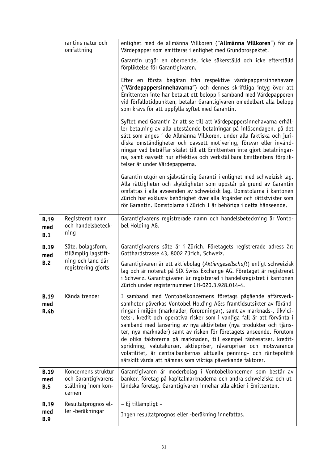|                                   | rantins natur och<br>omfattning                                             | enlighet med de allmänna Villkoren ("Allmänna Villkoren") för de<br>Värdepapper som emitteras i enlighet med Grundprospektet.                                                                                                                                                                                                                                                                                                                                                                                                                                                                                                                                                                                             |
|-----------------------------------|-----------------------------------------------------------------------------|---------------------------------------------------------------------------------------------------------------------------------------------------------------------------------------------------------------------------------------------------------------------------------------------------------------------------------------------------------------------------------------------------------------------------------------------------------------------------------------------------------------------------------------------------------------------------------------------------------------------------------------------------------------------------------------------------------------------------|
|                                   |                                                                             | Garantin utgör en oberoende, icke säkerställd och icke efterställd<br>förpliktelse för Garantigivaren.                                                                                                                                                                                                                                                                                                                                                                                                                                                                                                                                                                                                                    |
|                                   |                                                                             | Efter en första begäran från respektive värdepappersinnehavare<br>("Värdepappersinnehavarna") och dennes skriftliga intyg över att<br>Emittenten inte har betalat ett belopp i samband med Värdepapperen<br>vid förfallotidpunkten, betalar Garantigivaren omedelbart alla belopp<br>som krävs för att uppfylla syftet med Garantin.                                                                                                                                                                                                                                                                                                                                                                                      |
|                                   |                                                                             | Syftet med Garantin är att se till att Värdepappersinnehavarna erhål-<br>ler betalning av alla utestående betalningar på inlösendagen, på det<br>sätt som anges i de Allmänna Villkoren, under alla faktiska och juri-<br>diska omständigheter och oavsett motivering, försvar eller invänd-<br>ningar vad beträffar skälet till att Emittenten inte gjort betalningar-<br>na, samt oavsett hur effektiva och verkställbara Emittentens förplik-<br>telser är under Värdepapperna.                                                                                                                                                                                                                                        |
|                                   |                                                                             | Garantin utgör en självständig Garanti i enlighet med schweizisk lag.<br>Alla rättigheter och skyldigheter som uppstår på grund av Garantin<br>omfattas i alla avseenden av schweizisk lag. Domstolarna i kantonen<br>Zürich har exklusiv behörighet över alla åtgärder och rättstvister som<br>rör Garantin. Domstolarna i Zürich 1 är behöriga i detta hänseende.                                                                                                                                                                                                                                                                                                                                                       |
| <b>B.19</b><br>med<br>B.1         | Registrerat namn<br>och handelsbeteck-<br>ning                              | Garantigivarens registrerade namn och handelsbeteckning är Vonto-<br>bel Holding AG.                                                                                                                                                                                                                                                                                                                                                                                                                                                                                                                                                                                                                                      |
| <b>B.19</b><br>med                | Säte, bolagsform,<br>tillämplig lagstift-                                   | Garantigivarens säte är i Zürich. Företagets registrerade adress är:<br>Gotthardstrasse 43, 8002 Zürich, Schweiz.                                                                                                                                                                                                                                                                                                                                                                                                                                                                                                                                                                                                         |
| B.2                               | ning och land där<br>registrering gjorts                                    | Garantigivaren är ett aktiebolag (Aktiengesellschaft) enligt schweizisk<br>lag och är noterat på SIX Swiss Exchange AG. Företaget är registrerat<br>i Schweiz. Garantigivaren är registrerad i handelsregistret i kantonen<br>Zürich under registernummer CH-020.3.928.014-4.                                                                                                                                                                                                                                                                                                                                                                                                                                             |
| <b>B.19</b><br>med<br><b>B.4b</b> | Kända trender                                                               | I samband med Vontobelkoncernens företags pågående affärsverk-<br>samheter påverkas Vontobel Holding AG:s framtidsutsikter av föränd-<br>ringar i miljön (marknader, förordningar), samt av marknads-, likvidi-<br>tets-, kredit och operativa risker som i vanliga fall är att förvänta i<br>samband med lansering av nya aktiviteter (nya produkter och tjäns-<br>ter, nya marknader) samt av risken för företagets anseende. Förutom<br>de olika faktorerna på marknaden, till exempel räntesatser, kredit-<br>spridning, valutakurser, aktiepriser, råvarupriser och motsvarande<br>volatilitet, är centralbankernas aktuella penning- och räntepolitik<br>särskilt värda att nämnas som viktiga påverkande faktorer. |
| <b>B.19</b><br>med<br>B.5         | Koncernens struktur<br>och Garantigivarens<br>ställning inom kon-<br>cernen | Garantigivaren är moderbolag i Vontobelkoncernen som består av<br>banker, företag på kapitalmarknaderna och andra schweiziska och ut-<br>ländska företag. Garantigivaren innehar alla aktier i Emittenten.                                                                                                                                                                                                                                                                                                                                                                                                                                                                                                                |
| <b>B.19</b><br>med<br><b>B.9</b>  | Resultatprognos el-<br>ler -beräkningar                                     | - Ej tillämpligt -<br>Ingen resultatprognos eller -beräkning innefattas.                                                                                                                                                                                                                                                                                                                                                                                                                                                                                                                                                                                                                                                  |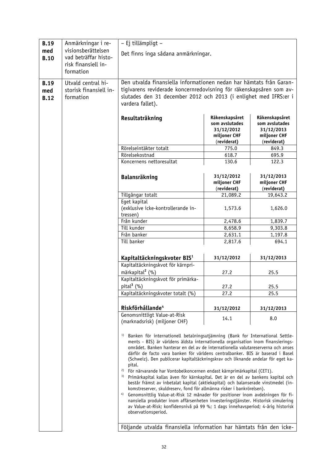| <b>B.19</b> | Anmärkningar i re-     | - Ej tillämpligt -                                                                                                                                                 |                    |                    |  |
|-------------|------------------------|--------------------------------------------------------------------------------------------------------------------------------------------------------------------|--------------------|--------------------|--|
| med         | visionsberättelsen     | Det finns inga sådana anmärkningar.                                                                                                                                |                    |                    |  |
| <b>B.10</b> | vad beträffar histo-   |                                                                                                                                                                    |                    |                    |  |
|             | risk finansiell in-    |                                                                                                                                                                    |                    |                    |  |
|             | formation              |                                                                                                                                                                    |                    |                    |  |
| <b>B.19</b> | Utvald central hi-     | Den utvalda finansiella informationen nedan har hämtats från Garan-                                                                                                |                    |                    |  |
|             | storisk finansiell in- |                                                                                                                                                                    |                    |                    |  |
| med         | formation              | tigivarens reviderade koncernredovisning för räkenskapsåren som av-<br>slutades den 31 december 2012 och 2013 (i enlighet med IFRS:er i                            |                    |                    |  |
| <b>B.12</b> |                        | vardera fallet).                                                                                                                                                   |                    |                    |  |
|             |                        |                                                                                                                                                                    |                    |                    |  |
|             |                        | Resultaträkning                                                                                                                                                    | Räkenskapsåret     | Räkenskapsåret     |  |
|             |                        |                                                                                                                                                                    | som avslutades     | som avslutades     |  |
|             |                        |                                                                                                                                                                    | 31/12/2012         | 31/12/2013         |  |
|             |                        |                                                                                                                                                                    | miljoner CHF       | miljoner CHF       |  |
|             |                        |                                                                                                                                                                    | (reviderat)        | (reviderat)        |  |
|             |                        | Rörelseintäkter totalt<br>Rörelsekostnad                                                                                                                           | 775.0<br>618.7     | 849.3              |  |
|             |                        | Koncernens nettoresultat                                                                                                                                           | 130.6              | 695.9<br>122.3     |  |
|             |                        |                                                                                                                                                                    |                    |                    |  |
|             |                        |                                                                                                                                                                    | 31/12/2012         | 31/12/2013         |  |
|             |                        | <b>Balansräkning</b>                                                                                                                                               | miljoner CHF       | miljoner CHF       |  |
|             |                        |                                                                                                                                                                    | (reviderat)        | (reviderat)        |  |
|             |                        | Tillgångar totalt                                                                                                                                                  | 21,089.2           | 19,643.2           |  |
|             |                        | Eget kapital                                                                                                                                                       |                    |                    |  |
|             |                        | (exklusive icke-kontrollerande in-                                                                                                                                 | 1,573.6            | 1,626.0            |  |
|             |                        | tressen)                                                                                                                                                           |                    |                    |  |
|             |                        | Från kunder                                                                                                                                                        | 2,478.6            | 1,839.7            |  |
|             |                        | Till kunder<br>Från banker                                                                                                                                         | 8,658.9<br>2,631.1 | 9,303.8<br>1,197.8 |  |
|             |                        | Till banker                                                                                                                                                        | 2,817.6            | 694.1              |  |
|             |                        |                                                                                                                                                                    |                    |                    |  |
|             |                        |                                                                                                                                                                    |                    |                    |  |
|             |                        | Kapitaltäckningskvoter BIS <sup>1</sup><br>Kapitaltäckningskvot för kärnpri-                                                                                       | 31/12/2012         | 31/12/2013         |  |
|             |                        | märkapital <sup>2</sup> (%)                                                                                                                                        |                    |                    |  |
|             |                        | Kapitaltäckningskvot för primärka-                                                                                                                                 | 27.2               | 25.5               |  |
|             |                        | pital $3$ (%)                                                                                                                                                      | 27.2               | 25.5               |  |
|             |                        | Kapitaltäckningskvoter totalt (%)                                                                                                                                  | 27.2               | 25.5               |  |
|             |                        |                                                                                                                                                                    |                    |                    |  |
|             |                        | Riskförhållande <sup>4</sup>                                                                                                                                       | 31/12/2012         | 31/12/2013         |  |
|             |                        | Genomsnittligt Value-at-Risk                                                                                                                                       |                    |                    |  |
|             |                        | (marknadsrisk) (miljoner CHF)                                                                                                                                      | 14.1               | 8.0                |  |
|             |                        |                                                                                                                                                                    |                    |                    |  |
|             |                        | 1)<br>Banken för internationell betalningsutjämning (Bank for International Settle-                                                                                |                    |                    |  |
|             |                        | ments - BIS) är världens äldsta internationella organisation inom finansierings-                                                                                   |                    |                    |  |
|             |                        | området. Banken hanterar en del av de internationella valutareserverna och anses                                                                                   |                    |                    |  |
|             |                        | därför de facto vara banken för världens centralbanker. BIS är baserad i Basel<br>(Schweiz). Den publicerar kapitaltäckningskrav och liknande andelar för eget ka- |                    |                    |  |
|             |                        | pital.                                                                                                                                                             |                    |                    |  |
|             |                        | 2)<br>För närvarande har Vontobelkoncernen endast kärnprimärkapital (CET1).                                                                                        |                    |                    |  |
|             |                        | 3)<br>Primärkapital kallas även för kärnkapital. Det är en del av bankens kapital och                                                                              |                    |                    |  |
|             |                        | består främst av inbetalat kapital (aktiekapital) och balanserade vinstmedel (in-                                                                                  |                    |                    |  |
|             |                        | komstreserver, skuldreserv, fond för allmänna risker i bankrörelsen).<br>4)<br>Genomsnittlig Value-at-Risk 12 månader för positioner inom avdelningen för fi-      |                    |                    |  |
|             |                        | nansiella produkter inom affärsenheten investeringstjänster. Historisk simulering                                                                                  |                    |                    |  |
|             |                        | av Value-at-Risk; konfidensnivå på 99 %; 1 dags innehavsperiod; 4-årig historisk                                                                                   |                    |                    |  |
|             |                        | observationsperiod.                                                                                                                                                |                    |                    |  |
|             |                        |                                                                                                                                                                    |                    |                    |  |
|             |                        | Följande utvalda finansiella information har hämtats från den icke-                                                                                                |                    |                    |  |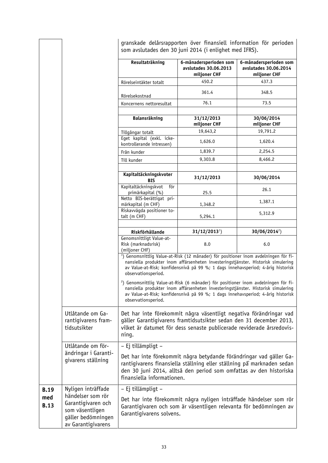granskade delårsrapporten över finansiell information för perioden som avslutades den 30 juni 2014 (i enlighet med IFRS).

|                    |                                                                                                        | Resultaträkning                                                   | 6-månadersperioden som<br>avslutades 30.06.2013<br>miljoner CHF                                                                                                                                                                                                          | 6-månadersperioden som<br>avslutades 30.06.2014<br>miljoner CHF |
|--------------------|--------------------------------------------------------------------------------------------------------|-------------------------------------------------------------------|--------------------------------------------------------------------------------------------------------------------------------------------------------------------------------------------------------------------------------------------------------------------------|-----------------------------------------------------------------|
|                    |                                                                                                        | Rörelseintäkter totalt                                            | 450.2                                                                                                                                                                                                                                                                    | 437.3                                                           |
|                    |                                                                                                        | Rörelsekostnad                                                    | 361.4                                                                                                                                                                                                                                                                    | 348.5                                                           |
|                    |                                                                                                        | Koncernens nettoresultat                                          | 76.1                                                                                                                                                                                                                                                                     | 73.5                                                            |
|                    |                                                                                                        | Balansräkning                                                     | 31/12/2013<br>miljoner CHF                                                                                                                                                                                                                                               | 30/06/2014<br>miljoner CHF                                      |
|                    |                                                                                                        | Tillgångar totalt                                                 | 19,643,2                                                                                                                                                                                                                                                                 | 19,791.2                                                        |
|                    |                                                                                                        | Eget kapital (exkl. icke-<br>kontrollerande intressen)            | 1,626.0                                                                                                                                                                                                                                                                  | 1,620.4                                                         |
|                    |                                                                                                        | Från kunder                                                       | 1,839.7                                                                                                                                                                                                                                                                  | 2,254.5                                                         |
|                    |                                                                                                        | Till kunder                                                       | 9,303.8                                                                                                                                                                                                                                                                  | 8,466.2                                                         |
|                    |                                                                                                        | Kapitaltäckningskvoter<br><b>BIS</b>                              | 31/12/2013                                                                                                                                                                                                                                                               | 30/06/2014                                                      |
|                    |                                                                                                        | Kapitaltäckningskvot<br>för<br>primärkapital (%)                  | 25.5                                                                                                                                                                                                                                                                     | 26.1                                                            |
|                    |                                                                                                        | Netto BIS-berättigat pri-<br>märkapital (m CHF)                   | 1,348.2                                                                                                                                                                                                                                                                  | 1,387.1                                                         |
|                    |                                                                                                        | Riskavvägda positioner to-<br>talt (m CHF)                        | 5,294.1                                                                                                                                                                                                                                                                  | 5,312.9                                                         |
|                    |                                                                                                        | Riskförhållande                                                   | $31/12/20131$ )                                                                                                                                                                                                                                                          | $30/06/2014^2$                                                  |
|                    |                                                                                                        | Genomsnittligt Value-at-<br>Risk (marknadsrisk)<br>(miljoner CHF) | 8.0                                                                                                                                                                                                                                                                      | 6.0                                                             |
|                    |                                                                                                        | observationsperiod.                                               | <sup>1</sup> ) Genomsnittlig Value-at-Risk (12 månader) för positioner inom avdelningen för fi-<br>nansiella produkter inom affärsenheten investeringstjänster. Historisk simulering<br>av Value-at-Risk; konfidensnivå på 99 %; 1 dags innehavsperiod; 4-årig historisk |                                                                 |
|                    |                                                                                                        | observationsperiod.                                               | <sup>2</sup> ) Genomsnittlig Value-at-Risk (6 månader) för positioner inom avdelningen för fi-<br>nansiella produkter inom affärsenheten investeringstjänster. Historisk simulering<br>av Value-at-Risk; konfidensnivå på 99 %; 1 dags innehavsperiod; 4-årig historisk  |                                                                 |
|                    | Utlåtande om Ga-<br>rantigivarens fram-<br>tidsutsikter                                                | ning.                                                             | Det har inte förekommit några väsentligt negativa förändringar vad<br>gäller Garantigivarens framtidsutsikter sedan den 31 december 2013,<br>vilket är datumet för dess senaste publicerade reviderade årsredovis-                                                       |                                                                 |
|                    | Utlåtande om för-                                                                                      | - Ej tillämpligt -                                                |                                                                                                                                                                                                                                                                          |                                                                 |
|                    | ändringar i Garanti-<br>givarens ställning                                                             | finansiella informationen.                                        | Det har inte förekommit några betydande förändringar vad gäller Ga-<br>rantigivarens finansiella ställning eller ställning på marknaden sedan<br>den 30 juni 2014, alltså den period som omfattas av den historiska                                                      |                                                                 |
| <b>B.19</b>        | Nyligen inträffade                                                                                     | - Ej tillämpligt -                                                |                                                                                                                                                                                                                                                                          |                                                                 |
| med<br><b>B.13</b> | händelser som rör<br>Garantigivaren och<br>som väsentligen<br>gäller bedömningen<br>av Garantigivarens | Garantigivarens solvens.                                          | Det har inte förekommit några nyligen inträffade händelser som rör<br>Garantigivaren och som är väsentligen relevanta för bedömningen av                                                                                                                                 |                                                                 |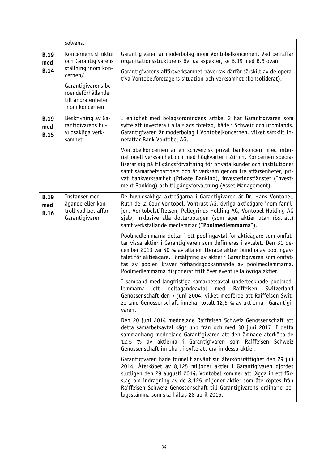|                                   | solvens.                                                                                                                                                         |                                                                                                                                                                                                                                                                                                                                                                                                                                    |
|-----------------------------------|------------------------------------------------------------------------------------------------------------------------------------------------------------------|------------------------------------------------------------------------------------------------------------------------------------------------------------------------------------------------------------------------------------------------------------------------------------------------------------------------------------------------------------------------------------------------------------------------------------|
| <b>B.19</b><br>med<br><b>B.14</b> | Koncernens struktur<br>och Garantigivarens<br>ställning inom kon-<br>cernen/<br>Garantigivarens be-<br>roendeförhållande<br>till andra enheter<br>inom koncernen | Garantigivaren är moderbolag inom Vontobelkoncernen. Vad beträffar<br>organisationsstrukturens övriga aspekter, se B.19 med B.5 ovan.<br>Garantigivarens affärsverksamhet påverkas därför särskilt av de opera-<br>tiva Vontobelföretagens situation och verksamhet (konsoliderat).                                                                                                                                                |
| <b>B.19</b><br>med<br><b>B.15</b> | Beskrivning av Ga-<br>rantigivarens hu-<br>vudsakliga verk-<br>samhet                                                                                            | I enlighet med bolagsordningens artikel 2 har Garantigivaren som<br>syfte att investera i alla slags företag, både i Schweiz och utomlands.<br>Garantigivaren är moderbolag i Vontobelkoncernen, vilket särskilt in-<br>nefattar Bank Vontobel AG.<br>Vontobelkoncernen är en schweizisk privat bankkoncern med inter-<br>nationell verksamhet och med högkvarter i Zürich. Koncernen specia-                                      |
|                                   |                                                                                                                                                                  | liserar sig på tillgångsförvaltning för privata kunder och institutioner<br>samt samarbetspartners och är verksam genom tre affärsenheter, pri-<br>vat bankverksamhet (Private Banking), investeringstjänster (Invest-<br>ment Banking) och tillgångsförvaltning (Asset Management).                                                                                                                                               |
| <b>B.19</b><br>med<br><b>B.16</b> | Instanser med<br>ägande eller kon-<br>troll vad beträffar<br>Garantigivaren                                                                                      | De huvudsakliga aktieägarna i Garantigivaren är Dr. Hans Vontobel,<br>Ruth de la Cour-Vontobel, Vontrust AG, övriga aktieägare inom famil-<br>jen, Vontobelstiftelsen, Pellegrinus Holding AG, Vontobel Holding AG<br>själv, inklusive alla dotterbolagen (som äger aktier utan rösträtt)<br>samt verkställande medlemmar ("Poolmedlemmarna").                                                                                     |
|                                   |                                                                                                                                                                  | Poolmedlemmarna deltar i ett poolingavtal för aktieägare som omfat-<br>tar vissa aktier i Garantigivaren som definieras i avtalet. Den 31 de-<br>cember 2013 var 40 % av alla emitterade aktier bundna av poolingav-<br>talet för aktieägare. Försäljning av aktier i Garantigivaren som omfat-<br>tas av poolen kräver förhandsgodkännande av poolmedlemmarna.<br>Poolmedlemmarna disponerar fritt över eventuella övriga aktier. |
|                                   |                                                                                                                                                                  | I samband med långfristiga samarbetsavtal undertecknade poolmed-<br>deltagandeavtal<br>Raiffeisen<br>Switzerland<br>lemmarna<br>ett<br>med<br>Genossenschaft den 7 juni 2004, vilket medförde att Raiffeisen Swit-<br>zerland Genossenschaft innehar totalt 12,5 % av aktierna i Garantigi-<br>varen.                                                                                                                              |
|                                   |                                                                                                                                                                  | Den 20 juni 2014 meddelade Raiffeisen Schweiz Genossenschaft att<br>detta samarbetsavtal sägs upp från och med 30 juni 2017. I detta<br>sammanhang meddelade Garantigivaren att den ämnade återköpa de<br>12,5 % av aktierna i Garantigivaren som Raiffeisen Schweiz<br>Genossenschaft innehar, i syfte att dra in dessa aktier.                                                                                                   |
|                                   |                                                                                                                                                                  | Garantigivaren hade formellt använt sin återköpsrättighet den 29 juli<br>2014. Återköpet av 8,125 miljoner aktier i Garantigivaren gjordes<br>slutligen den 29 augusti 2014. Vontobel kommer att lägga in ett för-<br>slag om indragning av de 8,125 miljoner aktier som återköptes från<br>Raiffeisen Schweiz Genossenschaft till Garantigivarens ordinarie bo-<br>lagsstämma som ska hållas 28 april 2015.                       |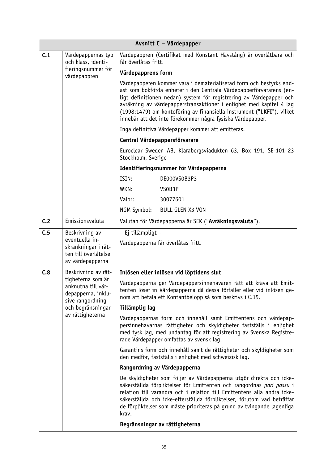|                                                                                   | Avsnitt C - Värdepapper                                                                                                    |                                                                                                                                                                                                                                                                                                                                                                                                                                 |  |
|-----------------------------------------------------------------------------------|----------------------------------------------------------------------------------------------------------------------------|---------------------------------------------------------------------------------------------------------------------------------------------------------------------------------------------------------------------------------------------------------------------------------------------------------------------------------------------------------------------------------------------------------------------------------|--|
| C.1                                                                               | Värdepappernas typ<br>och klass, identi-                                                                                   | Värdepappren (Certifikat med Konstant Hävstång) är överlåtbara och<br>får överlåtas fritt.                                                                                                                                                                                                                                                                                                                                      |  |
|                                                                                   | fieringsnummer för<br>värdepappren                                                                                         | Värdepapprens form                                                                                                                                                                                                                                                                                                                                                                                                              |  |
|                                                                                   |                                                                                                                            | Värdepapperen kommer vara i dematerialiserad form och bestyrks end-<br>ast som bokförda enheter i den Centrala Värdepapperförvararens (en-<br>ligt definitionen nedan) system för registrering av Värdepapper och<br>avräkning av värdepapperstransaktioner i enlighet med kapitel 4 lag<br>(1998:1479) om kontoföring av finansiella instrument ("LKFI"), vilket<br>innebär att det inte förekommer några fysiska Värdepapper. |  |
|                                                                                   |                                                                                                                            | Inga definitiva Värdepapper kommer att emitteras.                                                                                                                                                                                                                                                                                                                                                                               |  |
|                                                                                   |                                                                                                                            | Central Värdepappersförvarare                                                                                                                                                                                                                                                                                                                                                                                                   |  |
|                                                                                   |                                                                                                                            | Euroclear Sweden AB, Klarabergsviadukten 63, Box 191, SE-101 23<br>Stockholm, Sverige                                                                                                                                                                                                                                                                                                                                           |  |
|                                                                                   |                                                                                                                            | Identifieringsnummer för Värdepapperna                                                                                                                                                                                                                                                                                                                                                                                          |  |
|                                                                                   |                                                                                                                            | ISIN:<br>DE000VS0B3P3                                                                                                                                                                                                                                                                                                                                                                                                           |  |
|                                                                                   |                                                                                                                            | WKN:<br>VSOB3P                                                                                                                                                                                                                                                                                                                                                                                                                  |  |
|                                                                                   |                                                                                                                            | Valor:<br>30077601                                                                                                                                                                                                                                                                                                                                                                                                              |  |
|                                                                                   |                                                                                                                            | NGM Symbol:<br><b>BULL GLEN X3 VON</b>                                                                                                                                                                                                                                                                                                                                                                                          |  |
| C <sub>2</sub>                                                                    | Emissionsvaluta                                                                                                            | Valutan för Värdepapperna är SEK ("Avräkningsvaluta").                                                                                                                                                                                                                                                                                                                                                                          |  |
| C.5                                                                               | Beskrivning av                                                                                                             | - Ej tillämpligt -                                                                                                                                                                                                                                                                                                                                                                                                              |  |
| eventuella in-<br>skränkningar i rät-<br>ten till överlåtelse<br>av värdepapperna | Värdepapperna får överlåtas fritt.                                                                                         |                                                                                                                                                                                                                                                                                                                                                                                                                                 |  |
| C.8                                                                               | Beskrivning av rät-                                                                                                        | Inlösen eller inlösen vid löptidens slut                                                                                                                                                                                                                                                                                                                                                                                        |  |
|                                                                                   | tigheterna som är<br>anknutna till vär-<br>depapperna, inklu-<br>sive rangordning<br>och begränsningar<br>av rättigheterna | Värdepapperna ger Värdepappersinnehavaren rätt att kräva att Emit-<br>tenten löser in Värdepapperna då dessa förfaller eller vid inlösen ge-<br>nom att betala ett Kontantbelopp så som beskrivs i C.15.                                                                                                                                                                                                                        |  |
|                                                                                   |                                                                                                                            | Tillämplig lag                                                                                                                                                                                                                                                                                                                                                                                                                  |  |
|                                                                                   |                                                                                                                            | Värdepappernas form och innehåll samt Emittentens och värdepap-<br>persinnehavarnas rättigheter och skyldigheter fastställs i enlighet<br>med tysk lag, med undantag för att registrering av Svenska Registre-<br>rade Värdepapper omfattas av svensk lag.                                                                                                                                                                      |  |
|                                                                                   |                                                                                                                            | Garantins form och innehåll samt de rättigheter och skyldigheter som<br>den medför, fastställs i enlighet med schweizisk lag.                                                                                                                                                                                                                                                                                                   |  |
|                                                                                   |                                                                                                                            | Rangordning av Värdepapperna                                                                                                                                                                                                                                                                                                                                                                                                    |  |
|                                                                                   |                                                                                                                            | De skyldigheter som följer av Värdepapperna utgör direkta och icke-<br>säkerställda förpliktelser för Emittenten och rangordnas pari passu i<br>relation till varandra och i relation till Emittentens alla andra icke-<br>säkerställda och icke-efterställda förpliktelser, förutom vad beträffar<br>de förpliktelser som måste prioriteras på grund av tvingande lagenliga<br>krav.                                           |  |
|                                                                                   |                                                                                                                            | Begränsningar av rättigheterna                                                                                                                                                                                                                                                                                                                                                                                                  |  |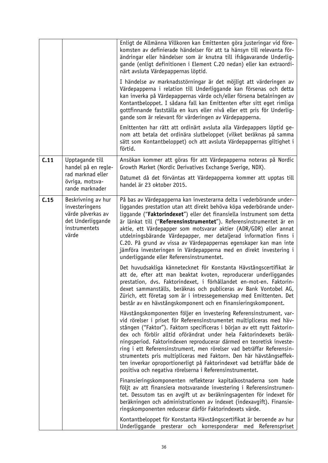|      |                                                                                                          | Enligt de Allmänna Villkoren kan Emittenten göra justeringar vid före-<br>komsten av definierade händelser för att ta hänsyn till relevanta för-<br>ändringar eller händelser som är knutna till ifrågavarande Underlig-<br>gande (enligt definitionen i Element C.20 nedan) eller kan extraordi-<br>närt avsluta Värdepappernas löptid.<br>I händelse av marknadsstörningar är det möjligt att värderingen av<br>Värdepapperna i relation till Underliggande kan försenas och detta<br>kan inverka på Värdepappernas värde och/eller försena betalningen av<br>Kontantbeloppet. I sådana fall kan Emittenten efter sitt eget rimliga<br>gottfinnande fastställa en kurs eller nivå eller ett pris för Underlig-<br>gande som är relevant för värderingen av Värdepapperna.<br>Emittenten har rätt att ordinärt avsluta alla Värdepappers löptid ge- |
|------|----------------------------------------------------------------------------------------------------------|------------------------------------------------------------------------------------------------------------------------------------------------------------------------------------------------------------------------------------------------------------------------------------------------------------------------------------------------------------------------------------------------------------------------------------------------------------------------------------------------------------------------------------------------------------------------------------------------------------------------------------------------------------------------------------------------------------------------------------------------------------------------------------------------------------------------------------------------------|
|      |                                                                                                          | nom att betala det ordinära slutbeloppet (vilket beräknas på samma<br>sätt som Kontantbeloppet) och att avsluta Värdepappernas giltighet i<br>förtid.                                                                                                                                                                                                                                                                                                                                                                                                                                                                                                                                                                                                                                                                                                |
| C.11 | Upptagande till<br>handel på en regle-                                                                   | Ansökan kommer att göras för att Värdepapperna noteras på Nordic<br>Growth Market (Nordic Derivatives Exchange Sverige, NDX).                                                                                                                                                                                                                                                                                                                                                                                                                                                                                                                                                                                                                                                                                                                        |
|      | rad marknad eller<br>övriga, motsva-<br>rande marknader                                                  | Datumet då det förväntas att Värdepapperna kommer att upptas till<br>handel är 23 oktober 2015.                                                                                                                                                                                                                                                                                                                                                                                                                                                                                                                                                                                                                                                                                                                                                      |
| C.15 | Beskrivning av hur<br>investeringens<br>värde påverkas av<br>det Underliggande<br>instrumentets<br>värde | På bas av Värdepapperna kan investerarna delta i vederbörande under-<br>liggandes prestation utan att direkt behöva köpa vederbörande under-<br>liggande ("Faktorindexet") eller det finansiella instrument som detta<br>är länkat till ("Referensinstrumentet"). Referensinstrumentet är en<br>aktie, ett Värdepapper som motsvarar aktier (ADR/GDR) eller annat<br>utdelningsbärande Värdepapper, mer detaljerad information finns i<br>C.20. På grund av vissa av Värdepappernas egenskaper kan man inte<br>jämföra investeringen in Värdepapperna med en direkt investering i<br>underliggande eller Referensinstrumentet.                                                                                                                                                                                                                       |
|      |                                                                                                          | Det huvudsakliga kännetecknet för Konstanta Hävstångscertifikat är<br>att de, efter att man beaktat kvoten, reproducerar underliggandes<br>prestation, dvs. Faktorindexet, i förhållandet en-mot-en. Faktorin-<br>dexet sammanställs, beräknas och publiceras av Bank Vontobel AG,<br>Zürich, ett företag som är i intressegemenskap med Emittenten. Det<br>består av en hävstångskomponent och en finansieringskomponent.                                                                                                                                                                                                                                                                                                                                                                                                                           |
|      |                                                                                                          | Hävstångskomponenten följer en investering Referensinstrument, var-<br>vid rörelser i priset för Referensinstrumentet multipliceras med häv-<br>stången ("Faktor"). Faktorn specificeras i början av ett nytt Faktorin-<br>dex och förblir alltid oförändrat under hela Faktorindexets beräk-<br>ningsperiod. Faktorindexen reproducerar därmed en teoretisk investe-<br>ring i ett Referensinstrument, men rörelser vad beträffar Referensin-<br>strumentets pris multipliceras med Faktorn. Den här hävstångseffek-<br>ten inverkar oproportionerligt på Faktorindexet vad beträffar både de<br>positiva och negativa rörelserna i Referensinstrumentet.                                                                                                                                                                                           |
|      |                                                                                                          | Finansieringskomponenten reflekterar kapitalkostnaderna som hade<br>följt av att finansiera motsvarande investering i Referensinstrumen-<br>tet. Dessutom tas en avgift ut av beräkningsagenten för indexet för<br>beräkningen och administrationen av indexet (indexavgift). Finansie-<br>ringskomponenten reducerar därför Faktorindexets värde.                                                                                                                                                                                                                                                                                                                                                                                                                                                                                                   |
|      |                                                                                                          | Kontantbeloppet för Konstanta Hävstångscertifikat är beroende av hur<br>Underliggande presterar och korresponderar med Referenspriset                                                                                                                                                                                                                                                                                                                                                                                                                                                                                                                                                                                                                                                                                                                |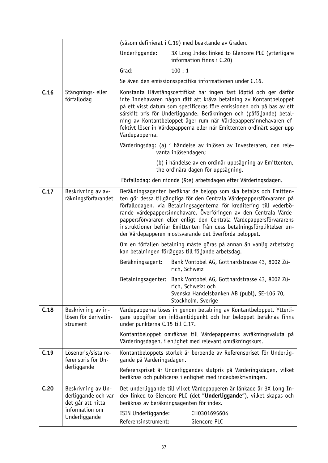|      |                                                                                                   |                                            | (såsom definierat i C.19) med beaktande av Graden.                                                                                                                                                                                                                                                                                                                                                                                                                                                 |
|------|---------------------------------------------------------------------------------------------------|--------------------------------------------|----------------------------------------------------------------------------------------------------------------------------------------------------------------------------------------------------------------------------------------------------------------------------------------------------------------------------------------------------------------------------------------------------------------------------------------------------------------------------------------------------|
|      |                                                                                                   | Underliggande:                             | 3X Long Index linked to Glencore PLC (ytterligare<br>information finns i C.20)                                                                                                                                                                                                                                                                                                                                                                                                                     |
|      |                                                                                                   | Grad:                                      | 100:1                                                                                                                                                                                                                                                                                                                                                                                                                                                                                              |
|      |                                                                                                   |                                            | Se även den emissionsspecifika informationen under C.16.                                                                                                                                                                                                                                                                                                                                                                                                                                           |
| C.16 | Stängnings- eller<br>förfallodag                                                                  | Värdepapperna.                             | Konstanta Hävstångscertifikat har ingen fast löptid och ger därför<br>inte Innehavaren någon rätt att kräva betalning av Kontantbeloppet<br>på ett visst datum som specificeras före emissionen och på bas av ett<br>särskilt pris för Underliggande. Beräkningen och (påföljande) betal-<br>ning av Kontantbeloppet äger rum när Värdepappersinnehavaren ef-<br>fektivt löser in Värdepapperna eller när Emittenten ordinärt säger upp                                                            |
|      |                                                                                                   |                                            | Värderingsdag: (a) i händelse av inlösen av Investeraren, den rele-<br>vanta inlösendagen;                                                                                                                                                                                                                                                                                                                                                                                                         |
|      |                                                                                                   |                                            | (b) i händelse av en ordinär uppsägning av Emittenten,<br>the ordinära dagen för uppsägning.                                                                                                                                                                                                                                                                                                                                                                                                       |
|      |                                                                                                   |                                            | Förfallodag: den nionde (9:e) arbetsdagen efter Värderingsdagen.                                                                                                                                                                                                                                                                                                                                                                                                                                   |
| C.17 | Beskrivning av av-<br>räkningsförfarandet                                                         |                                            | Beräkningsagenten beräknar de belopp som ska betalas och Emitten-<br>ten gör dessa tillgängliga för den Centrala Värdepappersförvararen på<br>förfallodagen, via Betalningsagenterna för kreditering till vederbö-<br>rande värdepappersinnehavare. Överföringen av den Centrala Värde-<br>pappersförvararen eller enligt den Centrala Värdepappersförvararens<br>instruktioner befriar Emittenten från dess betalningsförpliktelser un-<br>der Värdepapperen mostsvarande det överförda beloppet. |
|      |                                                                                                   |                                            | Om en förfallen betalning måste göras på annan än vanlig arbetsdag<br>kan betalningen förläggas till följande arbetsdag.                                                                                                                                                                                                                                                                                                                                                                           |
|      |                                                                                                   | Beräkningsagent:                           | Bank Vontobel AG, Gotthardstrasse 43, 8002 Zü-<br>rich, Schweiz                                                                                                                                                                                                                                                                                                                                                                                                                                    |
|      |                                                                                                   |                                            | Betalningsagenter: Bank Vontobel AG, Gotthardstrasse 43, 8002 Zü-<br>rich, Schweiz; och<br>Svenska Handelsbanken AB (publ), SE-106 70,<br>Stockholm, Sverige                                                                                                                                                                                                                                                                                                                                       |
| C.18 | Beskrivning av in-<br>lösen för derivatin-<br>strument                                            | under punkterna C.15 till C.17.            | Värdepapperna löses in genom betalning av Kontantbeloppet. Ytterli-<br>gare uppgifter om inlösentidpunkt och hur beloppet beräknas finns                                                                                                                                                                                                                                                                                                                                                           |
|      |                                                                                                   |                                            | Kontantbeloppet omräknas till Värdepappernas avräkningsvaluta på<br>Värderingsdagen, i enlighet med relevant omräkningskurs.                                                                                                                                                                                                                                                                                                                                                                       |
| C.19 | Lösenpris/sista re-<br>ferenspris för Un-<br>derliggande                                          | gande på Värderingsdagen.                  | Kontantbeloppets storlek är beroende av Referenspriset för Underlig-<br>Referenspriset är Underliggandes slutpris på Värderingsdagen, vilket<br>beräknas och publiceras i enlighet med indexbeskrivningen.                                                                                                                                                                                                                                                                                         |
| C.20 | Beskrivning av Un-<br>derliggande och var<br>det går att hitta<br>information om<br>Underliggande | ISIN Underliggande:<br>Referensinstrument: | Det underliggande till vilket Värdepapperen är länkade är 3X Long In-<br>dex linked to Glencore PLC (det "Underliggande"), vilket skapas och<br>beräknas av beräkningsagenten för index.<br>CH0301695604<br>Glencore PLC                                                                                                                                                                                                                                                                           |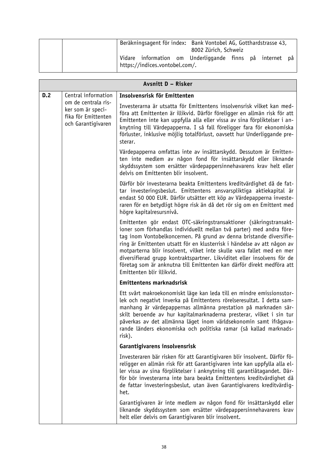| Beräkningsagent för index: Bank Vontobel AG, Gotthardstrasse 43,<br>8002 Zürich, Schweiz   |
|--------------------------------------------------------------------------------------------|
| Vidare information om Underliggande finns på internet på<br>https://indices.vontobel.com/. |

| Avsnitt D - Risker |                                                                                       |                                                                                                                                                                                                                                                                                                                                                                                                                                                                                                                                                        |
|--------------------|---------------------------------------------------------------------------------------|--------------------------------------------------------------------------------------------------------------------------------------------------------------------------------------------------------------------------------------------------------------------------------------------------------------------------------------------------------------------------------------------------------------------------------------------------------------------------------------------------------------------------------------------------------|
| D.2                | Central information                                                                   | Insolvensrisk för Emittenten                                                                                                                                                                                                                                                                                                                                                                                                                                                                                                                           |
|                    | om de centrala ris-<br>ker som är speci-<br>fika för Emittenten<br>och Garantigivaren | Investerarna är utsatta för Emittentens insolvensrisk vilket kan med-<br>föra att Emittenten är illikvid. Därför föreligger en allmän risk för att<br>Emittenten inte kan uppfylla alla eller vissa av sina förpliktelser i an-<br>knytning till Värdepapperna. I så fall föreligger fara för ekonomiska<br>förluster, inklusive möjlig totalförlust, oavsett hur Underliggande pre-<br>sterar.                                                                                                                                                        |
|                    |                                                                                       | Värdepapperna omfattas inte av insättarskydd. Dessutom är Emitten-<br>ten inte medlem av någon fond för insättarskydd eller liknande<br>skyddssystem som ersätter värdepappersinnehavarens krav helt eller<br>delvis om Emittenten blir insolvent.                                                                                                                                                                                                                                                                                                     |
|                    |                                                                                       | Därför bör investerarna beakta Emittentens kreditvärdighet då de fat-<br>tar investeringsbeslut. Emittentens ansvarspliktiga aktiekapital är<br>endast 50 000 EUR. Därför utsätter ett köp av Värdepapperna investe-<br>raren för en betydligt högre risk än då det rör sig om en Emittent med<br>högre kapitalresursnivå.                                                                                                                                                                                                                             |
|                    |                                                                                       | Emittenten gör endast OTC-säkringstransaktioner (säkringstransakt-<br>ioner som förhandlas individuellt mellan två parter) med andra före-<br>tag inom Vontobelkoncernen. På grund av denna bristande diversifie-<br>ring är Emittenten utsatt för en klusterrisk i händelse av att någon av<br>motparterna blir insolvent, vilket inte skulle vara fallet med en mer<br>diversifierad grupp kontraktspartner. Likviditet eller insolvens för de<br>företag som är anknutna till Emittenten kan därför direkt medföra att<br>Emittenten blir illikvid. |
|                    |                                                                                       | <b>Emittentens marknadsrisk</b>                                                                                                                                                                                                                                                                                                                                                                                                                                                                                                                        |
|                    |                                                                                       | Ett svårt makroekonomiskt läge kan leda till en mindre emissionsstor-<br>lek och negativt inverka på Emittentens rörelseresultat. I detta sam-<br>manhang är värdepappernas allmänna prestation på marknaden sär-<br>skilt beroende av hur kapitalmarknaderna presterar, vilket i sin tur<br>påverkas av det allmänna läget inom världsekonomin samt ifrågava-<br>rande länders ekonomiska och politiska ramar (så kallad marknads-<br>risk).                                                                                                          |
|                    |                                                                                       | Garantigivarens insolvensrisk                                                                                                                                                                                                                                                                                                                                                                                                                                                                                                                          |
|                    |                                                                                       | Investeraren bär risken för att Garantigivaren blir insolvent. Därför fö-<br>religger en allmän risk för att Garantigivaren inte kan uppfylla alla el-<br>ler vissa av sina förpliktelser i anknytning till garantiåtagandet. Där-<br>för bör investerarna inte bara beakta Emittentens kreditvärdighet då<br>de fattar investeringsbeslut, utan även Garantigivarens kreditvärdig-<br>het.                                                                                                                                                            |
|                    |                                                                                       | Garantigivaren är inte medlem av någon fond för insättarskydd eller<br>liknande skyddssystem som ersätter värdepappersinnehavarens krav<br>helt eller delvis om Garantigivaren blir insolvent.                                                                                                                                                                                                                                                                                                                                                         |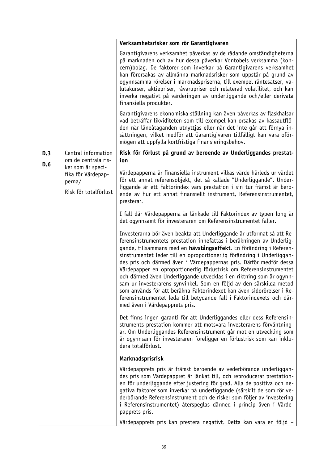|     |                                                                            | Verksamhetsrisker som rör Garantigivaren                                                                                                                                                                                                                                                                                                                                                                                                                                                                                                                                                                                                                                                                                                                                       |
|-----|----------------------------------------------------------------------------|--------------------------------------------------------------------------------------------------------------------------------------------------------------------------------------------------------------------------------------------------------------------------------------------------------------------------------------------------------------------------------------------------------------------------------------------------------------------------------------------------------------------------------------------------------------------------------------------------------------------------------------------------------------------------------------------------------------------------------------------------------------------------------|
|     |                                                                            | Garantigivarens verksamhet påverkas av de rådande omständigheterna<br>på marknaden och av hur dessa påverkar Vontobels verksamma (kon-<br>cern) bolag. De faktorer som inverkar på Garantigivarens verksamhet<br>kan förorsakas av allmänna marknadsrisker som uppstår på grund av<br>ogynnsamma rörelser i marknadspriserna, till exempel räntesatser, va-<br>lutakurser, aktiepriser, råvarupriser och relaterad volatilitet, och kan<br>inverka negativt på värderingen av underliggande och/eller derivata<br>finansiella produkter.                                                                                                                                                                                                                                       |
|     |                                                                            | Garantigivarens ekonomiska ställning kan även påverkas av flaskhalsar<br>vad beträffar likviditeten som till exempel kan orsakas av kassautflö-<br>den när låneåtaganden utnyttjas eller när det inte går att förnya in-<br>sättningen, vilket medför att Garantigivaren tillfälligt kan vara oför-<br>mögen att uppfylla kortfristiga finansieringsbehov.                                                                                                                                                                                                                                                                                                                                                                                                                     |
| D.3 | Central information<br>om de centrala ris-                                 | Risk för förlust på grund av beroende av Underliggandes prestat-<br>ion                                                                                                                                                                                                                                                                                                                                                                                                                                                                                                                                                                                                                                                                                                        |
| D.6 | ker som är speci-<br>fika för Värdepap-<br>perna/<br>Risk för totalförlust | Värdepapperna är finansiella instrument vilkas värde härleds ur värdet<br>för ett annat referensobjekt, det så kallade "Underliggande". Under-<br>liggande är ett Faktorindex vars prestation i sin tur främst är bero-<br>ende av hur ett annat finansiellt instrument, Referensinstrumentet,<br>presterar.                                                                                                                                                                                                                                                                                                                                                                                                                                                                   |
|     |                                                                            | I fall där Värdepapperna är länkade till Faktorindex av typen long är<br>det ogynnsamt för investeraren om Referensinstrumentet faller.                                                                                                                                                                                                                                                                                                                                                                                                                                                                                                                                                                                                                                        |
|     |                                                                            | Investerarna bör även beakta att Underliggande är utformat så att Re-<br>ferensinstrumentets prestation innefattas i beräkningen av Underlig-<br>gande, tillsammans med en hävstångseffekt. En förändring i Referen-<br>sinstrumentet leder till en oproportionerlig förändring i Underliggan-<br>des pris och därmed även i Värdepappernas pris. Därför medför dessa<br>Värdepapper en oproportionerlig förlustrisk om Referensinstrumentet<br>och därmed även Underliggande utvecklas i en riktning som är ogynn-<br>sam ur investerarens synvinkel. Som en följd av den särskilda metod<br>som används för att beräkna Faktorindexet kan även sidorörelser i Re-<br>ferensinstrumentet leda till betydande fall i Faktorindexets och där-<br>med även i Värdepapprets pris. |
|     |                                                                            | Det finns ingen garanti för att Underliggandes eller dess Referensin-<br>struments prestation kommer att motsvara investerarens förväntning-<br>ar. Om Underliggandes Referensinstrument går mot en utveckling som<br>är ogynnsam för investeraren föreligger en förlustrisk som kan inklu-<br>dera totalförlust.                                                                                                                                                                                                                                                                                                                                                                                                                                                              |
|     |                                                                            | Marknadsprisrisk                                                                                                                                                                                                                                                                                                                                                                                                                                                                                                                                                                                                                                                                                                                                                               |
|     |                                                                            | Värdepapprets pris är främst beroende av vederbörande underliggan-<br>des pris som Värdepappret är länkat till, och reproducerar prestation-<br>en för underliggande efter justering för grad. Alla de positiva och ne-<br>gativa faktorer som inverkar på underliggande (särskilt de som rör ve-<br>derbörande Referensinstrument och de risker som följer av investering<br>i Referensinstrumentet) återspeglas därmed i princip även i Värde-<br>papprets pris.                                                                                                                                                                                                                                                                                                             |
|     |                                                                            | Värdepapprets pris kan prestera negativt. Detta kan vara en följd -                                                                                                                                                                                                                                                                                                                                                                                                                                                                                                                                                                                                                                                                                                            |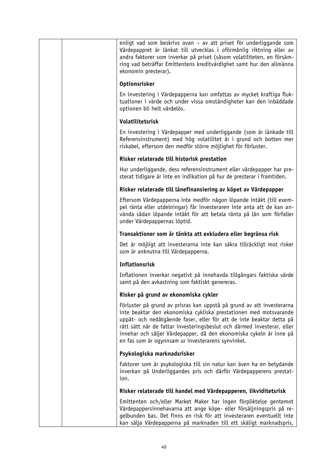|  | enligt vad som beskrivs ovan - av att priset för underliggande som<br>Värdepappret är länkat till utvecklas i oförmånlig riktning eller av<br>andra faktorer som inverkar på priset (såsom volatiliteten, en försäm-<br>ring vad beträffar Emittentens kreditvärdighet samt hur den allmänna<br>ekonomin presterar).                                                                                                       |
|--|----------------------------------------------------------------------------------------------------------------------------------------------------------------------------------------------------------------------------------------------------------------------------------------------------------------------------------------------------------------------------------------------------------------------------|
|  | <b>Optionsrisker</b>                                                                                                                                                                                                                                                                                                                                                                                                       |
|  | En investering i Värdepapperna kan omfattas av mycket kraftiga fluk-<br>tuationer i värde och under vissa omständigheter kan den inbäddade<br>optionen bli helt värdelös.                                                                                                                                                                                                                                                  |
|  | Volatilitetsrisk                                                                                                                                                                                                                                                                                                                                                                                                           |
|  | En investering i Värdepapper med underliggande (som är länkade till<br>Referensinstrument) med hög volatilitet är i grund och botten mer<br>riskabel, eftersom den medför större möjlighet för förluster.                                                                                                                                                                                                                  |
|  | Risker relaterade till historisk prestation                                                                                                                                                                                                                                                                                                                                                                                |
|  | Hur underliggande, dess referensinstrument eller värdepapper har pre-<br>sterat tidigare är inte en indikation på hur de presterar i framtiden.                                                                                                                                                                                                                                                                            |
|  | Risker relaterade till lånefinansiering av köpet av Värdepapper                                                                                                                                                                                                                                                                                                                                                            |
|  | Eftersom Värdepapperna inte medför någon löpande intäkt (till exem-<br>pel ränta eller utdelningar) får investeraren inte anta att de kan an-<br>vända sådan löpande intäkt för att betala ränta på lån som förfaller<br>under Värdepappernas löptid.                                                                                                                                                                      |
|  | Transaktioner som är tänkta att exkludera eller begränsa risk                                                                                                                                                                                                                                                                                                                                                              |
|  | Det är möjligt att investerarna inte kan säkra tillräckligt mot risker<br>som är anknutna till Värdepapperna.                                                                                                                                                                                                                                                                                                              |
|  | <b>Inflationsrisk</b>                                                                                                                                                                                                                                                                                                                                                                                                      |
|  | Inflationen inverkar negativt på innehavda tillgångars faktiska värde<br>samt på den avkastning som faktiskt genereras.                                                                                                                                                                                                                                                                                                    |
|  | Risker på grund av ekonomiska cykler                                                                                                                                                                                                                                                                                                                                                                                       |
|  | Förluster på grund av prisras kan uppstå på grund av att investerarna<br>inte beaktar den ekonomiska cykliska prestationen med motsvarande<br>uppåt- och nedåtgående faser, eller för att de inte beaktar detta på<br>rätt sätt när de fattar investeringsbeslut och därmed investerar, eller<br>innehar och säljer Värdepapper, då den ekonomiska cykeln är inne på<br>en fas som är ogynnsam ur investerarens synvinkel. |
|  | Psykologiska marknadsrisker                                                                                                                                                                                                                                                                                                                                                                                                |
|  | Faktorer som är psykologiska till sin natur kan även ha en betydande<br>inverkan på Underliggandes pris och därför Värdepapperens prestat-<br>ion.                                                                                                                                                                                                                                                                         |
|  | Risker relaterade till handel med Värdepapperen, likviditetsrisk                                                                                                                                                                                                                                                                                                                                                           |
|  | Emittenten och/eller Market Maker har ingen förpliktelse gentemot<br>Värdepappersinnehavarna att ange köpe- eller försäljningspris på re-<br>gelbunden bas. Det finns en risk för att investeraren eventuellt inte<br>kan sälja Värdepapperna på marknaden till ett skäligt marknadspris,                                                                                                                                  |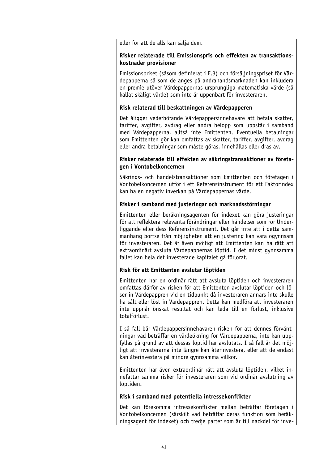|  | eller för att de alls kan sälja dem.                                                                                                                                                                                                                                                                                                                                                                                                                                                                   |
|--|--------------------------------------------------------------------------------------------------------------------------------------------------------------------------------------------------------------------------------------------------------------------------------------------------------------------------------------------------------------------------------------------------------------------------------------------------------------------------------------------------------|
|  | Risker relaterade till Emissionspris och effekten av transaktions-<br>kostnader provisioner                                                                                                                                                                                                                                                                                                                                                                                                            |
|  | Emissionspriset (såsom definierat i E.3) och försäljningspriset för Vär-<br>depapperna så som de anges på andrahandsmarknaden kan inkludera<br>en premie utöver Värdepappernas ursprungliga matematiska värde (så<br>kallat skäligt värde) som inte är uppenbart för investeraren.                                                                                                                                                                                                                     |
|  | Risk relaterad till beskattningen av Värdepapperen                                                                                                                                                                                                                                                                                                                                                                                                                                                     |
|  | Det åligger vederbörande Värdepappersinnehavare att betala skatter,<br>tariffer, avgifter, avdrag eller andra belopp som uppstår i samband<br>med Värdepapperna, alltså inte Emittenten. Eventuella betalningar<br>som Emittenten gör kan omfattas av skatter, tariffer, avgifter, avdrag<br>eller andra betalningar som måste göras, innehållas eller dras av.                                                                                                                                        |
|  | Risker relaterade till effekten av säkringstransaktioner av företa-<br>gen i Vontobelkoncernen                                                                                                                                                                                                                                                                                                                                                                                                         |
|  | Säkrings- och handelstransaktioner som Emittenten och företagen i<br>Vontobelkoncernen utför i ett Referensinstrument för ett Faktorindex<br>kan ha en negativ inverkan på Värdepappernas värde.                                                                                                                                                                                                                                                                                                       |
|  | Risker i samband med justeringar och marknadsstörningar                                                                                                                                                                                                                                                                                                                                                                                                                                                |
|  | Emittenten eller beräkningsagenten för indexet kan göra justeringar<br>för att reflektera relevanta förändringar eller händelser som rör Under-<br>liggande eller dess Referensinstrument. Det går inte att i detta sam-<br>manhang bortse från möjligheten att en justering kan vara ogynnsam<br>för investeraren. Det är även möjligt att Emittenten kan ha rätt att<br>extraordinärt avsluta Värdepappernas löptid. I det minst gynnsamma<br>fallet kan hela det investerade kapitalet gå förlorat. |
|  | Risk för att Emittenten avslutar löptiden                                                                                                                                                                                                                                                                                                                                                                                                                                                              |
|  | Emittenten har en ordinär rätt att avsluta löptiden och investeraren<br>omfattas därför av risken för att Emittenten avslutar löptiden och lö-<br>ser in Värdepappren vid en tidpunkt då investeraren annars inte skulle<br>ha sålt eller löst in Värdepappren. Detta kan medföra att investeraren<br>inte uppnår önskat resultat och kan leda till en förlust, inklusive<br>totalförlust.                                                                                                             |
|  | I så fall bär Värdepappersinnehavaren risken för att dennes förvänt-<br>ningar vad beträffar en värdeökning för Värdepapperna, inte kan upp-<br>fyllas på grund av att dessas löptid har avslutats. I så fall är det möj-<br>ligt att investerarna inte längre kan återinvestera, eller att de endast<br>kan återinvestera på mindre gynnsamma villkor.                                                                                                                                                |
|  | Emittenten har även extraordinär rätt att avsluta löptiden, vilket in-<br>nefattar samma risker för investeraren som vid ordinär avslutning av<br>löptiden.                                                                                                                                                                                                                                                                                                                                            |
|  | Risk i samband med potentiella intressekonflikter                                                                                                                                                                                                                                                                                                                                                                                                                                                      |
|  | Det kan förekomma intressekonflikter mellan beträffar företagen i<br>Vontobelkoncernen (särskilt vad beträffar deras funktion som beräk-<br>ningsagent för indexet) och tredje parter som är till nackdel för inve-                                                                                                                                                                                                                                                                                    |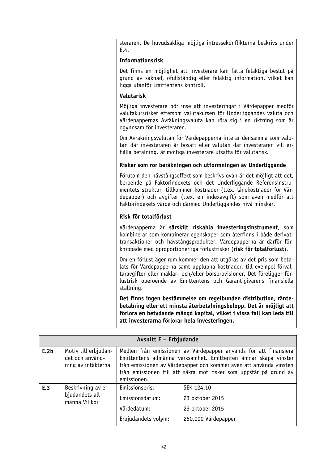|  | steraren. De huvudsakliga möjliga intressekonflikterna beskrivs under<br>E.4.                                                                                                                                                                                                                                                                          |
|--|--------------------------------------------------------------------------------------------------------------------------------------------------------------------------------------------------------------------------------------------------------------------------------------------------------------------------------------------------------|
|  | <b>Informationsrisk</b>                                                                                                                                                                                                                                                                                                                                |
|  | Det finns en möjlighet att investerare kan fatta felaktiga beslut på<br>grund av saknad, ofullständig eller felaktig information, vilket kan<br>ligga utanför Emittentens kontroll.                                                                                                                                                                    |
|  | <b>Valutarisk</b>                                                                                                                                                                                                                                                                                                                                      |
|  | Möjliga investerare bör inse att investeringar i Värdepapper medför<br>valutakursrisker eftersom valutakursen för Underliggandes valuta och<br>Värdepappernas Avräkningsvaluta kan röra sig i en riktning som är<br>ogynnsam för investeraren.                                                                                                         |
|  | Om Avräkningsvalutan för Värdepapperna inte är densamma som valu-<br>tan där investeraren är bosatt eller valutan där investeraren vill er-<br>hålla betalning, är möjliga investerare utsatta för valutarisk.                                                                                                                                         |
|  | Risker som rör beräkningen och utformningen av Underliggande                                                                                                                                                                                                                                                                                           |
|  | Förutom den hävstångseffekt som beskrivs ovan är det möjligt att det,<br>beroende på Faktorindexets och det Underliggande Referensinstru-<br>mentets struktur, tillkommer kostnader (t.ex. lånekostnader för Vär-<br>depapper) och avgifter (t.ex. en indexavgift) som även medför att<br>Faktorindexets värde och därmed Underliggandes nivå minskar. |
|  | Risk för totalförlust                                                                                                                                                                                                                                                                                                                                  |
|  | Värdepapperna är särskilt riskabla investeringsinstrument, som<br>kombinerar som kombinerar egenskaper som återfinns i både derivat-<br>transaktioner och hävstångsprodukter. Värdepapperna är därför för-<br>knippade med oproportionerliga förlustrisker (risk för totalförlust).                                                                    |
|  | Om en förlust äger rum kommer den att utgöras av det pris som beta-<br>lats för Värdepapperna samt upplupna kostnader, till exempel förval-<br>taravgifter eller mäklar- och/eller börsprovisioner. Det föreligger för-<br>lustrisk oberoende av Emittentens och Garantigivarens finansiella<br>ställning.                                             |
|  | Det finns ingen bestämmelse om regelbunden distribution, ränte-<br>betalning eller ett minsta återbetalningsbelopp. Det är möjligt att<br>förlora en betydande mängd kapital, vilket i vissa fall kan leda till<br>att investerarna förlorar hela investeringen.                                                                                       |

| Avsnitt E - Erbjudande |                                                               |                                                                         |                                                                                                                                                                                                                                                                                |
|------------------------|---------------------------------------------------------------|-------------------------------------------------------------------------|--------------------------------------------------------------------------------------------------------------------------------------------------------------------------------------------------------------------------------------------------------------------------------|
| E.2b                   | Motiv till erbjudan-<br>det och använd-<br>ning av intäkterna | emissionen.                                                             | Medlen från emissionen av Värdepapper används för att finansiera<br>Emittentens allmänna verksamhet. Emittenten ämnar skapa vinster<br>från emissionen av Värdepapper och kommer även att använda vinsten<br>från emissionen till att säkra mot risker som uppstår på grund av |
| E.3                    | Beskrivning av er-<br>bjudandets all-<br>männa Villkor        | Emissionspris:<br>Emissionsdatum:<br>Värdedatum:<br>Erbjudandets volym: | SEK 124.10<br>23 oktober 2015<br>23 oktober 2015<br>250,000 Värdepapper                                                                                                                                                                                                        |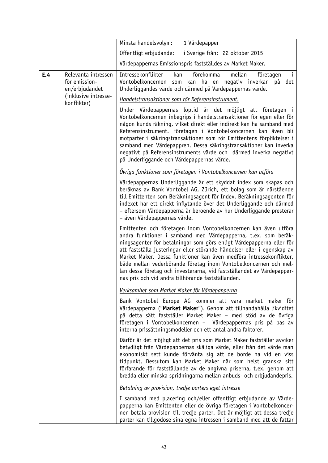|     |                                                                                                                                                                                                                                                                                                                                                                                             | Minsta handelsvolym:<br>1 Värdepapper                                                                                                                                                                                                                                                                                                                                                                                                                                                                                                                           |
|-----|---------------------------------------------------------------------------------------------------------------------------------------------------------------------------------------------------------------------------------------------------------------------------------------------------------------------------------------------------------------------------------------------|-----------------------------------------------------------------------------------------------------------------------------------------------------------------------------------------------------------------------------------------------------------------------------------------------------------------------------------------------------------------------------------------------------------------------------------------------------------------------------------------------------------------------------------------------------------------|
|     |                                                                                                                                                                                                                                                                                                                                                                                             | Offentligt erbjudande:<br>i Sverige från: 22 oktober 2015                                                                                                                                                                                                                                                                                                                                                                                                                                                                                                       |
|     |                                                                                                                                                                                                                                                                                                                                                                                             | Värdepappernas Emissionspris fastställdes av Market Maker.                                                                                                                                                                                                                                                                                                                                                                                                                                                                                                      |
| E.4 | Relevanta intressen<br>för emission-<br>en/erbjudandet<br>(inklusive intresse-<br>konflikter)                                                                                                                                                                                                                                                                                               | $\mathbf{i}$<br>Intressekonflikter<br>förekomma<br>mellan<br>kan<br>företagen<br>Vontobelkoncernen<br>kan ha en<br>negativ inverkan på<br>det<br>som<br>Underliggandes värde och därmed på Värdepappernas värde.<br>Handelstransaktioner som rör Referensinstrument.                                                                                                                                                                                                                                                                                            |
|     |                                                                                                                                                                                                                                                                                                                                                                                             | Under Värdepappernas löptid är det möjligt att företagen i<br>Vontobelkoncernen inbegrips i handelstransaktioner för egen eller för<br>någon kunds räkning, vilket direkt eller indirekt kan ha samband med<br>Referensinstrument. Företagen i Vontobelkoncernen kan även bli<br>motparter i säkringstransaktioner som rör Emittentens förpliktelser i<br>samband med Värdepappren. Dessa säkringstransaktioner kan inverka<br>negativt på Referensinstruments värde och därmed inverka negativt<br>på Underliggande och Värdepappernas värde.                  |
|     |                                                                                                                                                                                                                                                                                                                                                                                             | Övriga funktioner som företagen i Vontobelkoncernen kan utföra                                                                                                                                                                                                                                                                                                                                                                                                                                                                                                  |
|     | Värdepappernas Underliggande är ett skyddat index som skapas och<br>beräknas av Bank Vontobel AG, Zürich, ett bolag som är närstående<br>till Emittenten som Beräkningsagent för Index. Beräkningsagenten för<br>indexet har ett direkt inflytande över det Underliggande och därmed<br>- eftersom Värdepapperna är beroende av hur Underliggande presterar<br>- även Värdepappernas värde. |                                                                                                                                                                                                                                                                                                                                                                                                                                                                                                                                                                 |
|     |                                                                                                                                                                                                                                                                                                                                                                                             | Emittenten och företagen inom Vontobelkoncernen kan även utföra<br>andra funktioner i samband med Värdepapperna, t.ex. som beräk-<br>ningsagenter för betalningar som görs enligt Värdepapperna eller för<br>att fastställa justeringar eller störande händelser eller i egenskap av<br>Market Maker. Dessa funktioner kan även medföra intressekonflikter,<br>både mellan vederbörande företag inom Vontobelkoncernen och mel-<br>lan dessa företag och investerarna, vid fastställandet av Värdepapper-<br>nas pris och vid andra tillhörande fastställanden. |
|     |                                                                                                                                                                                                                                                                                                                                                                                             | Verksamhet som Market Maker för Värdepapperna                                                                                                                                                                                                                                                                                                                                                                                                                                                                                                                   |
|     |                                                                                                                                                                                                                                                                                                                                                                                             | Bank Vontobel Europe AG kommer att vara market maker för<br>Värdepapperna ("Market Maker"). Genom att tillhandahålla likviditet<br>på detta sätt fastställer Market Maker - med stöd av de övriga<br>företagen i Vontobelkoncernen - Värdepappernas pris på bas av<br>interna prissättningsmodeller och ett antal andra faktorer.                                                                                                                                                                                                                               |
|     |                                                                                                                                                                                                                                                                                                                                                                                             | Därför är det möjligt att det pris som Market Maker fastställer avviker<br>betydligt från Värdepappernas skäliga värde, eller från det värde man<br>ekonomiskt sett kunde förvänta sig att de borde ha vid en viss<br>tidpunkt. Dessutom kan Market Maker när som helst granska sitt<br>förfarande för fastställande av de angivna priserna, t.ex. genom att<br>bredda eller minska spridningarna mellan anbuds- och erbjudandepris.                                                                                                                            |
|     |                                                                                                                                                                                                                                                                                                                                                                                             | Betalning av provision, tredje parters eget intresse                                                                                                                                                                                                                                                                                                                                                                                                                                                                                                            |
|     |                                                                                                                                                                                                                                                                                                                                                                                             | I samband med placering och/eller offentligt erbjudande av Värde-<br>papperna kan Emittenten eller de övriga företagen i Vontobelkoncer-<br>nen betala provision till tredje parter. Det är möjligt att dessa tredje<br>parter kan tillgodose sina egna intressen i samband med att de fattar                                                                                                                                                                                                                                                                   |